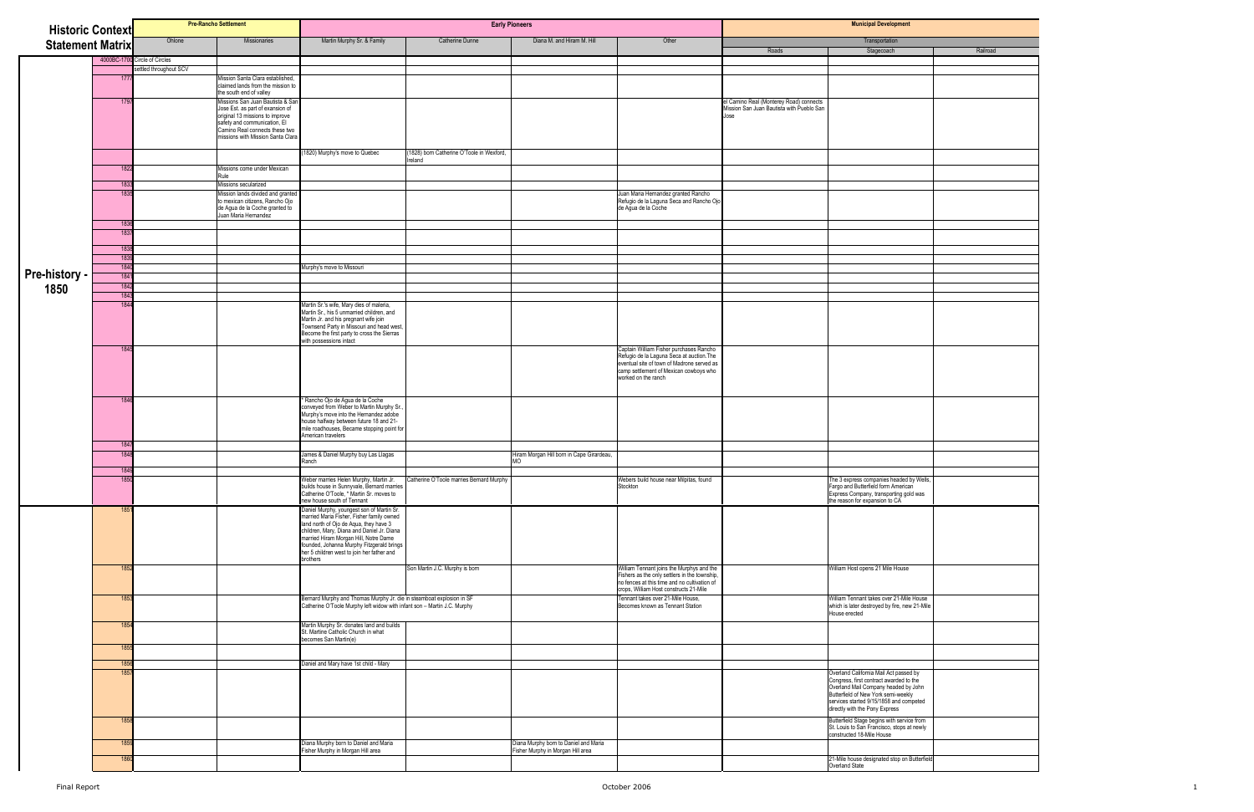| <b>Historic Context</b> |                  |                               | <b>Pre-Rancho Settlement</b>                                                                        |                                                                                                                                                                                                                                               |                                           | <b>Early Pioneers</b>                                                      |                                                                                                                                                                                      |                                                                                      | <b>Municipal Development</b>                                                                                                                                                                                                                  |
|-------------------------|------------------|-------------------------------|-----------------------------------------------------------------------------------------------------|-----------------------------------------------------------------------------------------------------------------------------------------------------------------------------------------------------------------------------------------------|-------------------------------------------|----------------------------------------------------------------------------|--------------------------------------------------------------------------------------------------------------------------------------------------------------------------------------|--------------------------------------------------------------------------------------|-----------------------------------------------------------------------------------------------------------------------------------------------------------------------------------------------------------------------------------------------|
| <b>Statement Matrix</b> |                  | Ohlone                        | Missionaries                                                                                        | Martin Murphy Sr. & Family                                                                                                                                                                                                                    | Catherine Dunne                           | Diana M. and Hiram M. Hill                                                 | Other                                                                                                                                                                                |                                                                                      | Transportation                                                                                                                                                                                                                                |
|                         |                  | 4000BC-1700 Circle of Circles |                                                                                                     |                                                                                                                                                                                                                                               |                                           |                                                                            |                                                                                                                                                                                      | Roads                                                                                | Railroad<br>Stagecoach                                                                                                                                                                                                                        |
|                         |                  | settled throughout SCV        |                                                                                                     |                                                                                                                                                                                                                                               |                                           |                                                                            |                                                                                                                                                                                      |                                                                                      |                                                                                                                                                                                                                                               |
|                         | 1777             |                               | Mission Santa Clara established,<br>claimed lands from the mission to<br>the south end of valley    |                                                                                                                                                                                                                                               |                                           |                                                                            |                                                                                                                                                                                      |                                                                                      |                                                                                                                                                                                                                                               |
|                         | 1797             |                               | Missions San Juan Bautista & Sar<br>Jose Est. as part of exansion of                                |                                                                                                                                                                                                                                               |                                           |                                                                            |                                                                                                                                                                                      | el Camino Real (Monterey Road) connects<br>Mission San Juan Bautista with Pueblo San |                                                                                                                                                                                                                                               |
|                         |                  |                               | original 13 missions to improve                                                                     |                                                                                                                                                                                                                                               |                                           |                                                                            |                                                                                                                                                                                      | Jose                                                                                 |                                                                                                                                                                                                                                               |
|                         |                  |                               | safety and communication, El<br>Camino Real connects these two<br>missions with Mission Santa Clara |                                                                                                                                                                                                                                               |                                           |                                                                            |                                                                                                                                                                                      |                                                                                      |                                                                                                                                                                                                                                               |
|                         |                  |                               |                                                                                                     | 1820) Murphy's move to Quebec                                                                                                                                                                                                                 | (1828) born Catherine O'Toole in Wexford, |                                                                            |                                                                                                                                                                                      |                                                                                      |                                                                                                                                                                                                                                               |
|                         | 1822             |                               |                                                                                                     |                                                                                                                                                                                                                                               | Ireland                                   |                                                                            |                                                                                                                                                                                      |                                                                                      |                                                                                                                                                                                                                                               |
|                         |                  |                               | Missions come under Mexican<br>Rule                                                                 |                                                                                                                                                                                                                                               |                                           |                                                                            |                                                                                                                                                                                      |                                                                                      |                                                                                                                                                                                                                                               |
|                         | 1833<br>1835     |                               | Missions secularized<br>Mission lands divided and granted                                           |                                                                                                                                                                                                                                               |                                           |                                                                            | Juan Maria Hernandez granted Rancho                                                                                                                                                  |                                                                                      |                                                                                                                                                                                                                                               |
|                         |                  |                               | to mexican citizens, Rancho Ojo<br>de Agua de la Coche granted to<br>Juan Maria Hernandez           |                                                                                                                                                                                                                                               |                                           |                                                                            | Refugio de la Laguna Seca and Rancho Ojo<br>de Agua de la Coche                                                                                                                      |                                                                                      |                                                                                                                                                                                                                                               |
|                         | 1836             |                               |                                                                                                     |                                                                                                                                                                                                                                               |                                           |                                                                            |                                                                                                                                                                                      |                                                                                      |                                                                                                                                                                                                                                               |
|                         | 1837             |                               |                                                                                                     |                                                                                                                                                                                                                                               |                                           |                                                                            |                                                                                                                                                                                      |                                                                                      |                                                                                                                                                                                                                                               |
|                         | 1838<br>1839     |                               |                                                                                                     |                                                                                                                                                                                                                                               |                                           |                                                                            |                                                                                                                                                                                      |                                                                                      |                                                                                                                                                                                                                                               |
|                         | 1840             |                               |                                                                                                     | Murphy's move to Missouri                                                                                                                                                                                                                     |                                           |                                                                            |                                                                                                                                                                                      |                                                                                      |                                                                                                                                                                                                                                               |
| <b>Pre-history -</b>    | 1841             |                               |                                                                                                     |                                                                                                                                                                                                                                               |                                           |                                                                            |                                                                                                                                                                                      |                                                                                      |                                                                                                                                                                                                                                               |
| 1850                    | 1842<br>1843     |                               |                                                                                                     |                                                                                                                                                                                                                                               |                                           |                                                                            |                                                                                                                                                                                      |                                                                                      |                                                                                                                                                                                                                                               |
|                         | 1844             |                               |                                                                                                     | Martin Sr.'s wife, Mary dies of maleria,                                                                                                                                                                                                      |                                           |                                                                            |                                                                                                                                                                                      |                                                                                      |                                                                                                                                                                                                                                               |
|                         |                  |                               |                                                                                                     | Martin Sr., his 5 unmarried children, and<br>Martin Jr. and his pregnant wife join<br>Townsend Party in Missouri and head west,<br>Become the first party to cross the Sierras<br>with possessions intact                                     |                                           |                                                                            |                                                                                                                                                                                      |                                                                                      |                                                                                                                                                                                                                                               |
|                         | 1845             |                               |                                                                                                     |                                                                                                                                                                                                                                               |                                           |                                                                            | Captain William Fisher purchases Rancho<br>Refugio de la Laguna Seca at auction. The<br>eventual site of town of Madrone served as<br>camp settlement of Mexican cowboys who         |                                                                                      |                                                                                                                                                                                                                                               |
|                         | 1846             |                               |                                                                                                     |                                                                                                                                                                                                                                               |                                           |                                                                            | worked on the ranch                                                                                                                                                                  |                                                                                      |                                                                                                                                                                                                                                               |
|                         |                  |                               |                                                                                                     | Rancho Ojo de Agua de la Coche<br>conveyed from Weber to Martin Murphy Sr.,<br>Murphy's move into the Hernandez adobe<br>house halfway between future 18 and 21-<br>mile roadhouses, Became stopping point for                                |                                           |                                                                            |                                                                                                                                                                                      |                                                                                      |                                                                                                                                                                                                                                               |
|                         | 1847             |                               |                                                                                                     | American travelers                                                                                                                                                                                                                            |                                           |                                                                            |                                                                                                                                                                                      |                                                                                      |                                                                                                                                                                                                                                               |
|                         | 1848             |                               |                                                                                                     | James & Daniel Murphy buy Las Llagas                                                                                                                                                                                                          |                                           | Hiram Morgan Hill born in Cape Girardeau,                                  |                                                                                                                                                                                      |                                                                                      |                                                                                                                                                                                                                                               |
|                         | 1849             |                               |                                                                                                     | Ranch                                                                                                                                                                                                                                         |                                           | MO                                                                         |                                                                                                                                                                                      |                                                                                      |                                                                                                                                                                                                                                               |
|                         |                  |                               |                                                                                                     | Veber marries Helen Murphy, Martin Jr.                                                                                                                                                                                                        | Catherine O'Toole marries Bernard Murphy  |                                                                            | Webers build house near Milpitas, found                                                                                                                                              |                                                                                      |                                                                                                                                                                                                                                               |
|                         |                  |                               |                                                                                                     | builds house in Sunnyvale, Bernard marries<br>Catherine O'Toole, * Martin Sr. moves to<br>new house south of Tennant                                                                                                                          |                                           |                                                                            | Stockton                                                                                                                                                                             |                                                                                      | The 3 express companies headed by Wells,<br>Fargo and Butterfield form American<br>Express Company, transporting gold was<br>the reason for expansion to CA                                                                                   |
|                         | 1851             |                               |                                                                                                     |                                                                                                                                                                                                                                               |                                           |                                                                            |                                                                                                                                                                                      |                                                                                      |                                                                                                                                                                                                                                               |
|                         |                  |                               |                                                                                                     | Formulated Murphy, youngest son of Martin Sr.<br>married Maria Fisher, Fisher family owned<br>land north of Ojo de Aqua, they have 3<br>children, Mary, Diana and Daniel Jr. Diana<br>married Hiram Morgan Hill, Notre Dame<br>founded, Johan |                                           |                                                                            |                                                                                                                                                                                      |                                                                                      |                                                                                                                                                                                                                                               |
|                         |                  |                               |                                                                                                     |                                                                                                                                                                                                                                               |                                           |                                                                            |                                                                                                                                                                                      |                                                                                      |                                                                                                                                                                                                                                               |
|                         |                  |                               |                                                                                                     | her 5 children west to join her father and<br>prothers                                                                                                                                                                                        |                                           |                                                                            |                                                                                                                                                                                      |                                                                                      |                                                                                                                                                                                                                                               |
|                         | 1852             |                               |                                                                                                     |                                                                                                                                                                                                                                               | Son Martin J.C. Murphy is born            |                                                                            | William Tennant joins the Murphys and the<br>Fishers as the only settlers in the township,<br>no fences at this time and no cultivation of<br>crops, William Host constructs 21-Mile |                                                                                      | William Host opens 21 Mile House                                                                                                                                                                                                              |
|                         | 1853             |                               |                                                                                                     | Bernard Murphy and Thomas Murphy Jr. die in steamboat explosion in SF<br>Catherine O'Toole Murphy left widow with infant son - Martin J.C. Murphy                                                                                             |                                           |                                                                            | Tennant takes over 21-Mile House,<br>Becomes known as Tennant Station                                                                                                                |                                                                                      | William Tennant takes over 21-Mile House<br>which is later destroyed by fire, new 21-Mile<br>House erected                                                                                                                                    |
|                         | 1854             |                               |                                                                                                     | Martin Murphy Sr. donates land and builds<br>St. Martine Catholic Church in what<br>becomes San Martin(e)                                                                                                                                     |                                           |                                                                            |                                                                                                                                                                                      |                                                                                      |                                                                                                                                                                                                                                               |
|                         | 1855             |                               |                                                                                                     |                                                                                                                                                                                                                                               |                                           |                                                                            |                                                                                                                                                                                      |                                                                                      |                                                                                                                                                                                                                                               |
|                         | 1856             |                               |                                                                                                     | Daniel and Mary have 1st child - Mary                                                                                                                                                                                                         |                                           |                                                                            |                                                                                                                                                                                      |                                                                                      |                                                                                                                                                                                                                                               |
|                         | 185              |                               |                                                                                                     |                                                                                                                                                                                                                                               |                                           |                                                                            |                                                                                                                                                                                      |                                                                                      | Overland California Mail Act passed by<br>Congress, first contract awarded to the<br>Overland Mail Company headed by John<br>Butterfield of New York semi-weekly<br>services started 9/15/1858 and competed<br>directly with the Pony Express |
|                         | 1858             |                               |                                                                                                     |                                                                                                                                                                                                                                               |                                           |                                                                            |                                                                                                                                                                                      |                                                                                      | Butterfield Stage begins with service from<br>St. Louis to San Francisco, stops at newly<br>constructed 18-Mile House                                                                                                                         |
|                         | 1859             |                               |                                                                                                     | Diana Murphy born to Daniel and Maria<br>Fisher Murphy in Morgan Hill area                                                                                                                                                                    |                                           | Diana Murphy born to Daniel and Maria<br>Fisher Murphy in Morgan Hill area |                                                                                                                                                                                      |                                                                                      |                                                                                                                                                                                                                                               |
|                         | 186 <sub>1</sub> |                               |                                                                                                     |                                                                                                                                                                                                                                               |                                           |                                                                            |                                                                                                                                                                                      |                                                                                      | 21-Mile house designated stop on Butterfield<br>Overland State                                                                                                                                                                                |
|                         |                  |                               |                                                                                                     |                                                                                                                                                                                                                                               |                                           |                                                                            |                                                                                                                                                                                      |                                                                                      |                                                                                                                                                                                                                                               |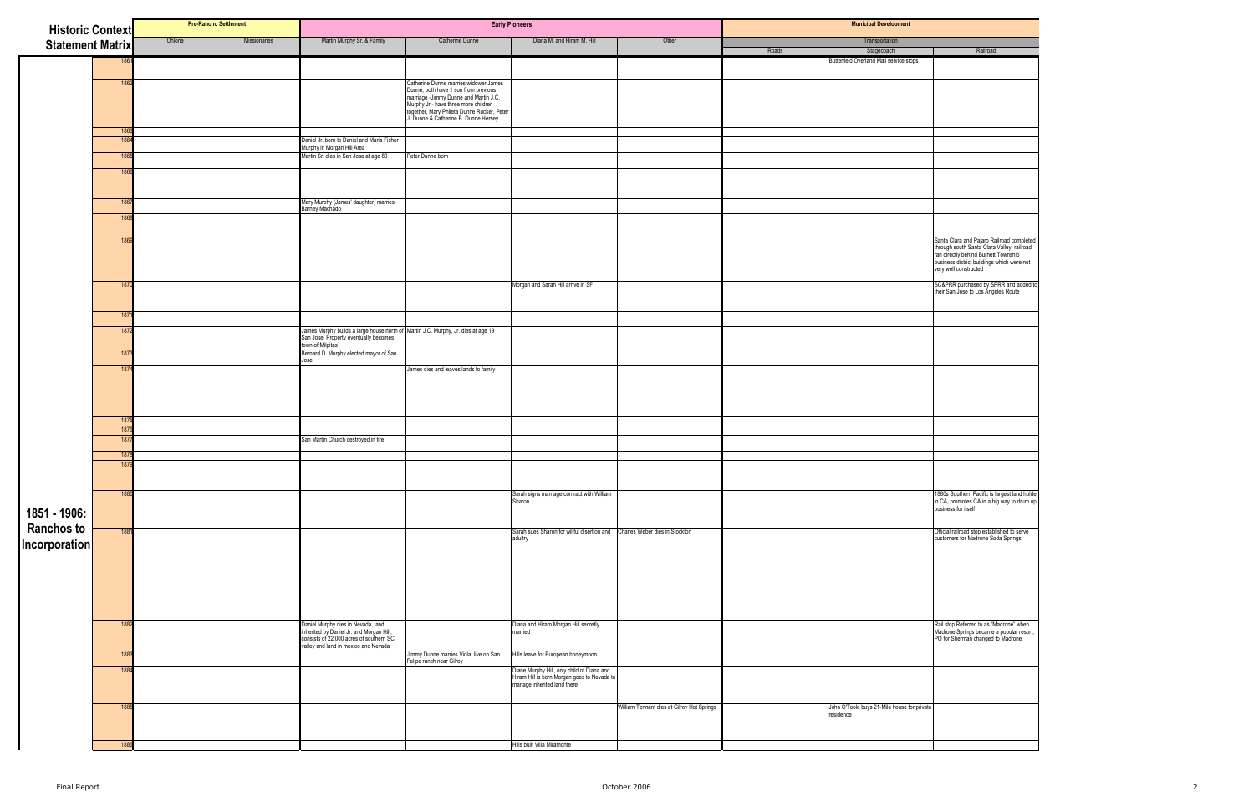| <b>Historic Context</b> |              | <b>Pre-Rancho Settlement</b> |              |                                                                                                                           | <b>Early Pioneers</b>                                                                                                                                                                                                                                     |                                                                             |                                            | <b>Municipal Development</b> |                                                          |                                                                                                                                                                                                   |  |  |
|-------------------------|--------------|------------------------------|--------------|---------------------------------------------------------------------------------------------------------------------------|-----------------------------------------------------------------------------------------------------------------------------------------------------------------------------------------------------------------------------------------------------------|-----------------------------------------------------------------------------|--------------------------------------------|------------------------------|----------------------------------------------------------|---------------------------------------------------------------------------------------------------------------------------------------------------------------------------------------------------|--|--|
| <b>Statement Matrix</b> |              | Ohlone                       | Missionaries | Martin Murphy Sr. & Family                                                                                                | Catherine Dunne                                                                                                                                                                                                                                           | Diana M. and Hiram M. Hill                                                  | Other                                      |                              | Transportation                                           |                                                                                                                                                                                                   |  |  |
|                         |              |                              |              |                                                                                                                           |                                                                                                                                                                                                                                                           |                                                                             |                                            | Roads                        | Stagecoach                                               | Railroad                                                                                                                                                                                          |  |  |
|                         |              |                              |              |                                                                                                                           |                                                                                                                                                                                                                                                           |                                                                             |                                            |                              | Butterfield Overland Mail service stops                  |                                                                                                                                                                                                   |  |  |
|                         | 186          |                              |              |                                                                                                                           | Catherine Dunne marries widower James<br>Dunne, both have 1 son from previous<br>but the participate in the and Martin J.C.<br>Murphy Jr.- have three more children<br>together, Mary Phileta Dunne Rucker, Peter<br>J. Dunne & Catherine B. Dunne Hersey |                                                                             |                                            |                              |                                                          |                                                                                                                                                                                                   |  |  |
|                         | 1863         |                              |              |                                                                                                                           |                                                                                                                                                                                                                                                           |                                                                             |                                            |                              |                                                          |                                                                                                                                                                                                   |  |  |
|                         | 186          |                              |              | Daniel Jr. born to Daniel and Maria Fisher<br>Murphy in Morgan Hill Area                                                  |                                                                                                                                                                                                                                                           |                                                                             |                                            |                              |                                                          |                                                                                                                                                                                                   |  |  |
|                         | 186          |                              |              | Martin Sr. dies in San Jose at age 80                                                                                     | Peter Dunne born                                                                                                                                                                                                                                          |                                                                             |                                            |                              |                                                          |                                                                                                                                                                                                   |  |  |
|                         | 186          |                              |              |                                                                                                                           |                                                                                                                                                                                                                                                           |                                                                             |                                            |                              |                                                          |                                                                                                                                                                                                   |  |  |
|                         | 1867         |                              |              | Mary Murphy (James' daughter) marries                                                                                     |                                                                                                                                                                                                                                                           |                                                                             |                                            |                              |                                                          |                                                                                                                                                                                                   |  |  |
|                         | 186          |                              |              | Barney Machado                                                                                                            |                                                                                                                                                                                                                                                           |                                                                             |                                            |                              |                                                          |                                                                                                                                                                                                   |  |  |
|                         |              |                              |              |                                                                                                                           |                                                                                                                                                                                                                                                           |                                                                             |                                            |                              |                                                          |                                                                                                                                                                                                   |  |  |
|                         | 186          |                              |              |                                                                                                                           |                                                                                                                                                                                                                                                           |                                                                             |                                            |                              |                                                          | Santa Clara and Pajaro Railroad completed<br>through south Santa Clara Valley, railroad<br>ran directly behind Burnett Township<br>tran directly behind Burnett Township<br>very well constructed |  |  |
|                         | 1870         |                              |              |                                                                                                                           |                                                                                                                                                                                                                                                           | Morgan and Sarah Hill arrive in SF                                          |                                            |                              |                                                          | SC&PRR purchased by SPRR and added to<br>their San Jose to Los Angeles Route                                                                                                                      |  |  |
|                         | 187          |                              |              |                                                                                                                           |                                                                                                                                                                                                                                                           |                                                                             |                                            |                              |                                                          |                                                                                                                                                                                                   |  |  |
|                         | 187          |                              |              | James Murphy builds a large house north of Martin J.C. Murphy, Jr. dies at age 19                                         |                                                                                                                                                                                                                                                           |                                                                             |                                            |                              |                                                          |                                                                                                                                                                                                   |  |  |
|                         |              |                              |              | San Jose. Property eventually becomes<br>town of Milpitas                                                                 |                                                                                                                                                                                                                                                           |                                                                             |                                            |                              |                                                          |                                                                                                                                                                                                   |  |  |
|                         | 1873         |                              |              | Bernard D. Murphy elected mayor of San                                                                                    |                                                                                                                                                                                                                                                           |                                                                             |                                            |                              |                                                          |                                                                                                                                                                                                   |  |  |
|                         | 187          |                              |              | Jose                                                                                                                      | James dies and leaves lands to family                                                                                                                                                                                                                     |                                                                             |                                            |                              |                                                          |                                                                                                                                                                                                   |  |  |
|                         | 1875         |                              |              |                                                                                                                           |                                                                                                                                                                                                                                                           |                                                                             |                                            |                              |                                                          |                                                                                                                                                                                                   |  |  |
|                         | 1876<br>1877 |                              |              | San Martin Church destroyed in fire                                                                                       |                                                                                                                                                                                                                                                           |                                                                             |                                            |                              |                                                          |                                                                                                                                                                                                   |  |  |
|                         |              |                              |              |                                                                                                                           |                                                                                                                                                                                                                                                           |                                                                             |                                            |                              |                                                          |                                                                                                                                                                                                   |  |  |
|                         | 1878<br>187  |                              |              |                                                                                                                           |                                                                                                                                                                                                                                                           |                                                                             |                                            |                              |                                                          |                                                                                                                                                                                                   |  |  |
|                         |              |                              |              |                                                                                                                           |                                                                                                                                                                                                                                                           |                                                                             |                                            |                              |                                                          | 1880s Southern Pacific is largest land holder                                                                                                                                                     |  |  |
| 1851 - 1906:            | 1880         |                              |              |                                                                                                                           |                                                                                                                                                                                                                                                           | Sarah signs marriage contract with William<br>Sharon                        |                                            |                              |                                                          | in CA, promotes CA in a big way to drum up<br>business for itself                                                                                                                                 |  |  |
| <b>Ranchos to</b>       | 1881         |                              |              |                                                                                                                           |                                                                                                                                                                                                                                                           | Sarah sues Sharon for willful disertion and Charles Weber dies in Stockton  |                                            |                              |                                                          | Official railroad stop established to serve                                                                                                                                                       |  |  |
| Incorporation           |              |                              |              |                                                                                                                           |                                                                                                                                                                                                                                                           | adultry                                                                     |                                            |                              |                                                          | customers for Madrone Soda Springs                                                                                                                                                                |  |  |
|                         | 188          |                              |              | Daniel Murphy dies in Nevada, land<br>inherited by Daniel Jr. and Morgan Hill,<br>consists of 22,000 acres of southern SC |                                                                                                                                                                                                                                                           | Diana and Hiram Morgan Hill secretly<br>married                             |                                            |                              |                                                          | Rail stop Referred to as "Madrone" when<br>Madrone Springs became a popular resort,<br>PO for Sherman changed to Madrone                                                                          |  |  |
|                         | 188          |                              |              | valley and land in mexico and Nevada                                                                                      | Jimmy Dunne marries Viola, live on San                                                                                                                                                                                                                    | Hills leave for European honeymoon                                          |                                            |                              |                                                          |                                                                                                                                                                                                   |  |  |
|                         | 188          |                              |              |                                                                                                                           | Felipe ranch near Gilroy                                                                                                                                                                                                                                  | Diane Murphy Hill, only child of Diana and                                  |                                            |                              |                                                          |                                                                                                                                                                                                   |  |  |
|                         |              |                              |              |                                                                                                                           |                                                                                                                                                                                                                                                           | Hiram Hill is born, Morgan goes to Nevada to<br>manage inherited land there |                                            |                              |                                                          |                                                                                                                                                                                                   |  |  |
|                         | 188          |                              |              |                                                                                                                           |                                                                                                                                                                                                                                                           |                                                                             | William Tennant dies at Gilroy Hot Springs |                              | John O'Toole buys 21-Mile house for private<br>residence |                                                                                                                                                                                                   |  |  |
|                         | 1886         |                              |              |                                                                                                                           |                                                                                                                                                                                                                                                           | Hills built Villa Miramonte                                                 |                                            |                              |                                                          |                                                                                                                                                                                                   |  |  |
|                         |              |                              |              |                                                                                                                           |                                                                                                                                                                                                                                                           |                                                                             |                                            |                              |                                                          |                                                                                                                                                                                                   |  |  |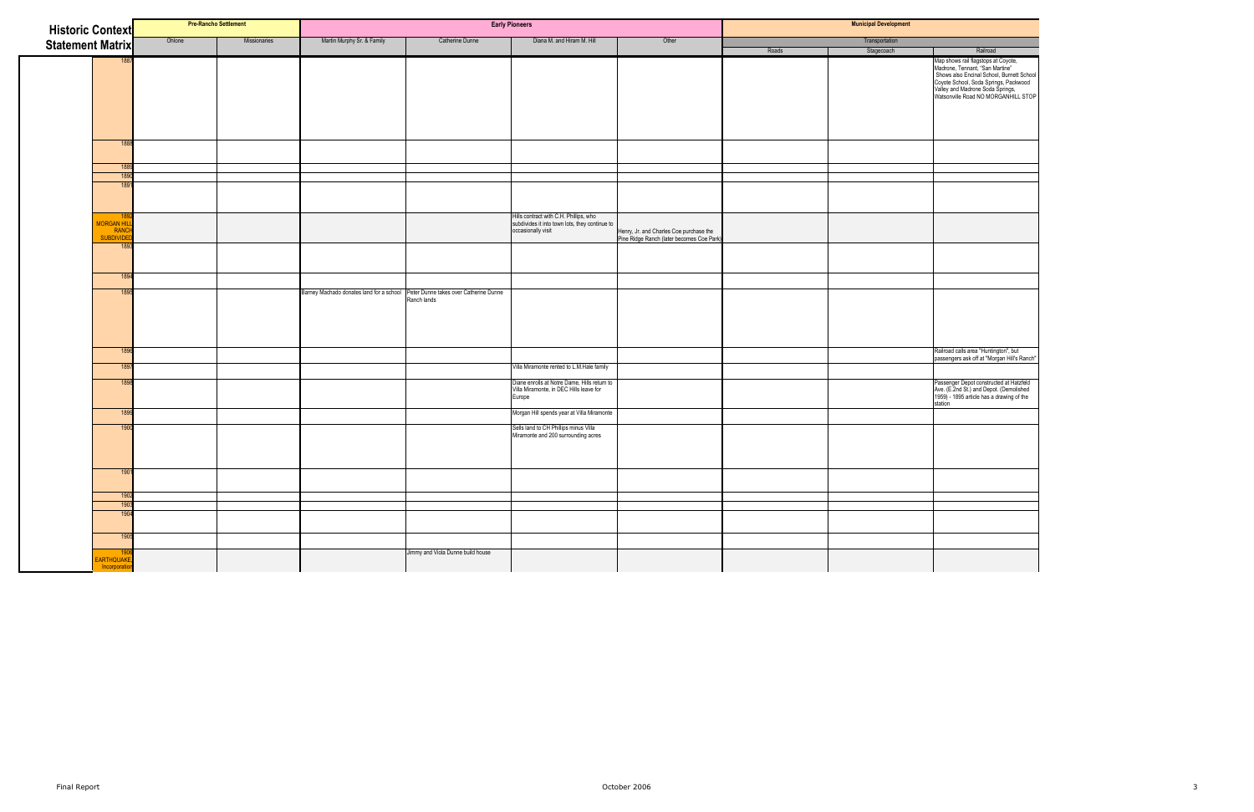| <b>Historic Context</b> |                                            |        | <b>Pre-Rancho Settlement</b> |                                                                                 |                                   | <b>Early Pioneers</b>                                                                                          |                                                                                      |       | <b>Municipal Development</b> |                                                                                                                                                                                                                                         |
|-------------------------|--------------------------------------------|--------|------------------------------|---------------------------------------------------------------------------------|-----------------------------------|----------------------------------------------------------------------------------------------------------------|--------------------------------------------------------------------------------------|-------|------------------------------|-----------------------------------------------------------------------------------------------------------------------------------------------------------------------------------------------------------------------------------------|
| <b>Statement Matrix</b> |                                            | Ohlone | Missionaries                 | Martin Murphy Sr. & Family                                                      | Catherine Dunne                   | Diana M. and Hiram M. Hill                                                                                     | Other                                                                                |       | Transportation               |                                                                                                                                                                                                                                         |
|                         |                                            |        |                              |                                                                                 |                                   |                                                                                                                |                                                                                      | Roads | Stagecoach                   | Railroad                                                                                                                                                                                                                                |
|                         |                                            |        |                              |                                                                                 |                                   |                                                                                                                |                                                                                      |       |                              | Map shows rail flagstops at Coyote,<br>Madrone, Tennant, "San Martine"<br>Shows also Encinal School, Burnett School<br>Coyote School, Soda Springs, Packwood<br>Valley and Madrone Soda Springs,<br>Watsonville Road NO MORGANHILL STOP |
|                         | 18 <sub>3</sub>                            |        |                              |                                                                                 |                                   |                                                                                                                |                                                                                      |       |                              |                                                                                                                                                                                                                                         |
|                         | 1889                                       |        |                              |                                                                                 |                                   |                                                                                                                |                                                                                      |       |                              |                                                                                                                                                                                                                                         |
|                         | 1890<br>189                                |        |                              |                                                                                 |                                   |                                                                                                                |                                                                                      |       |                              |                                                                                                                                                                                                                                         |
|                         |                                            |        |                              |                                                                                 |                                   |                                                                                                                |                                                                                      |       |                              |                                                                                                                                                                                                                                         |
|                         | <b>MORGAN HIL</b><br>RANCH                 |        |                              |                                                                                 |                                   | Hills contract with C.H. Phillips, who<br>subdivides it into town lots, they continue to<br>occasionally visit | Henry, Jr. and Charles Coe purchase the<br>Pine Ridge Ranch (later becomes Coe Park) |       |                              |                                                                                                                                                                                                                                         |
|                         | <b>SUBDIVIDE</b><br>180                    |        |                              |                                                                                 |                                   |                                                                                                                |                                                                                      |       |                              |                                                                                                                                                                                                                                         |
|                         |                                            |        |                              |                                                                                 |                                   |                                                                                                                |                                                                                      |       |                              |                                                                                                                                                                                                                                         |
|                         | 189                                        |        |                              |                                                                                 |                                   |                                                                                                                |                                                                                      |       |                              |                                                                                                                                                                                                                                         |
|                         | 189                                        |        |                              | Barney Machado donates land for a school Peter Dunne takes over Catherine Dunne | Ranch lands                       |                                                                                                                |                                                                                      |       |                              |                                                                                                                                                                                                                                         |
|                         | 1896                                       |        |                              |                                                                                 |                                   |                                                                                                                |                                                                                      |       |                              | Railroad calls area "Huntington", but<br>passengers ask off at "Morgan Hill's Ranch"                                                                                                                                                    |
|                         | 189                                        |        |                              |                                                                                 |                                   | Villa Miramonte rented to L.M.Hale family                                                                      |                                                                                      |       |                              |                                                                                                                                                                                                                                         |
|                         | 180                                        |        |                              |                                                                                 |                                   |                                                                                                                |                                                                                      |       |                              |                                                                                                                                                                                                                                         |
|                         |                                            |        |                              |                                                                                 |                                   | Diane enrolls at Notre Dame, Hills return to<br>Villa Miramonte, in DEC Hills leave for<br>Europe              |                                                                                      |       |                              | Passenger Depot constructed at Hatzfeld<br>Ave. (E.2nd St.) and Depot. (Demolished<br>1959) - 1895 article has a drawing of the<br>station                                                                                              |
|                         | 189                                        |        |                              |                                                                                 |                                   | Morgan Hill spends year at Villa Miramonte                                                                     |                                                                                      |       |                              |                                                                                                                                                                                                                                         |
|                         | 190                                        |        |                              |                                                                                 |                                   | Sells land to CH Phillips minus Villa<br>Miramonte and 200 surrounding acres                                   |                                                                                      |       |                              |                                                                                                                                                                                                                                         |
|                         | 1901                                       |        |                              |                                                                                 |                                   |                                                                                                                |                                                                                      |       |                              |                                                                                                                                                                                                                                         |
|                         | 1902                                       |        |                              |                                                                                 |                                   |                                                                                                                |                                                                                      |       |                              |                                                                                                                                                                                                                                         |
|                         | 1903                                       |        |                              |                                                                                 |                                   |                                                                                                                |                                                                                      |       |                              |                                                                                                                                                                                                                                         |
|                         | 190                                        |        |                              |                                                                                 |                                   |                                                                                                                |                                                                                      |       |                              |                                                                                                                                                                                                                                         |
|                         | 1905                                       |        |                              |                                                                                 |                                   |                                                                                                                |                                                                                      |       |                              |                                                                                                                                                                                                                                         |
|                         | 1906<br><b>EARTHQUAKE</b><br>Incorporation |        |                              |                                                                                 | Jimmy and Viola Dunne build house |                                                                                                                |                                                                                      |       |                              |                                                                                                                                                                                                                                         |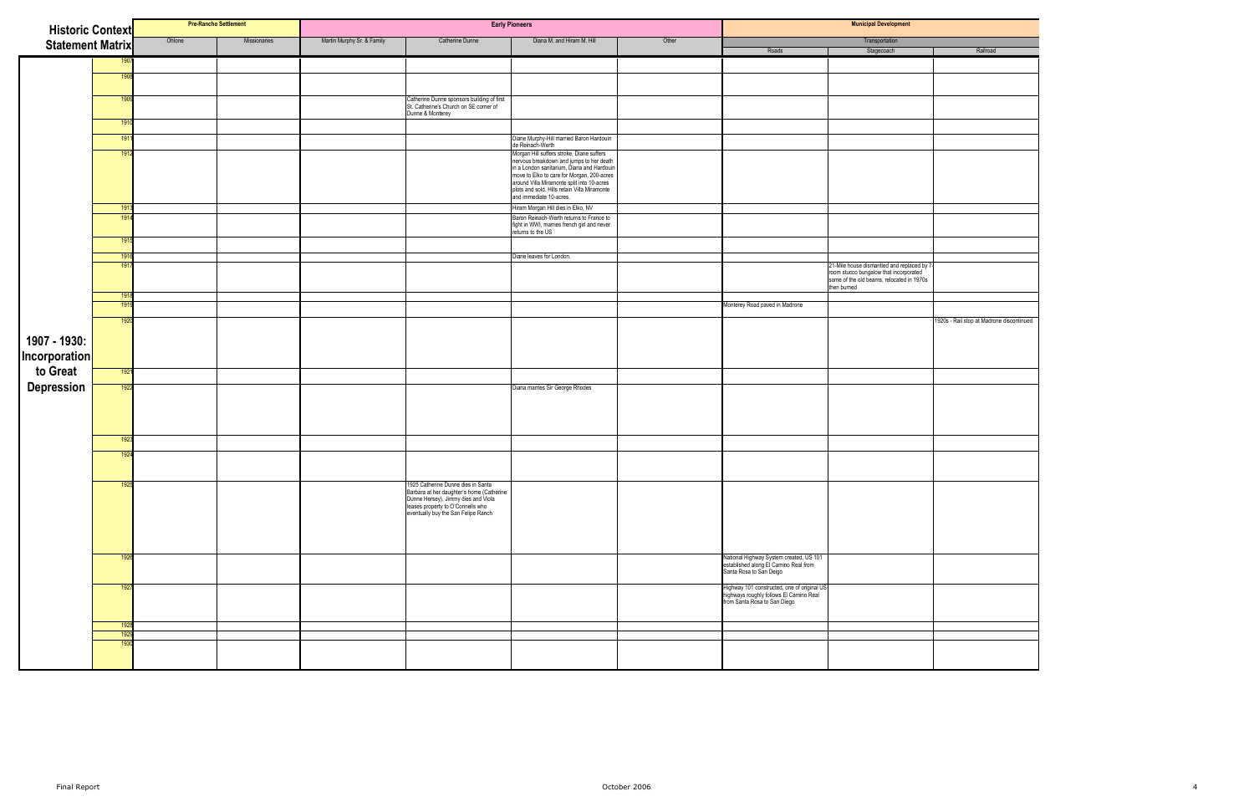| <b>Historic Context</b>                       |              |        | <b>Pre-Rancho Settlement</b> |                            |                                                                                                                                                                                                 | <b>Early Pioneers</b>                                                                                                                                                                                                          |       |                                                                                                                        | <b>Municipal Development</b>                                                                       |                                           |
|-----------------------------------------------|--------------|--------|------------------------------|----------------------------|-------------------------------------------------------------------------------------------------------------------------------------------------------------------------------------------------|--------------------------------------------------------------------------------------------------------------------------------------------------------------------------------------------------------------------------------|-------|------------------------------------------------------------------------------------------------------------------------|----------------------------------------------------------------------------------------------------|-------------------------------------------|
| <b>Statement Matrix</b>                       |              | Ohlone | Missionaries                 | Martin Murphy Sr. & Family | <b>Catherine Dunne</b>                                                                                                                                                                          | Diana M. and Hiram M. Hill                                                                                                                                                                                                     | Other | Roads                                                                                                                  | Transportation<br>Stagecoach                                                                       | Railroad                                  |
|                                               |              |        |                              |                            |                                                                                                                                                                                                 |                                                                                                                                                                                                                                |       |                                                                                                                        |                                                                                                    |                                           |
|                                               | 1908         |        |                              |                            |                                                                                                                                                                                                 |                                                                                                                                                                                                                                |       |                                                                                                                        |                                                                                                    |                                           |
|                                               |              |        |                              |                            |                                                                                                                                                                                                 |                                                                                                                                                                                                                                |       |                                                                                                                        |                                                                                                    |                                           |
|                                               | 190          |        |                              |                            | Catherine Dunne sponsors building of first<br>St. Catherine's Church on SE corner of<br>Dunne & Monterey                                                                                        |                                                                                                                                                                                                                                |       |                                                                                                                        |                                                                                                    |                                           |
|                                               | 1910         |        |                              |                            |                                                                                                                                                                                                 |                                                                                                                                                                                                                                |       |                                                                                                                        |                                                                                                    |                                           |
|                                               | 1911         |        |                              |                            |                                                                                                                                                                                                 |                                                                                                                                                                                                                                |       |                                                                                                                        |                                                                                                    |                                           |
|                                               | 1912         |        |                              |                            |                                                                                                                                                                                                 | Diane Murphy-Hill married Baron Hardouin<br>de Reinach-Werth                                                                                                                                                                   |       |                                                                                                                        |                                                                                                    |                                           |
|                                               |              |        |                              |                            |                                                                                                                                                                                                 | Morgan Hill suffers stroke, Diane suffers<br>nervous breakdown and jumps to her death<br>in a London sanitarium, Diana and Hardouin<br>now to Elko to care for Morgan, 200-acres<br>around Villa Miramonte split into 10-acres |       |                                                                                                                        |                                                                                                    |                                           |
|                                               |              |        |                              |                            |                                                                                                                                                                                                 |                                                                                                                                                                                                                                |       |                                                                                                                        |                                                                                                    |                                           |
|                                               |              |        |                              |                            |                                                                                                                                                                                                 | plots and sold. Hills retain Villa Miramonte<br>and immediate 10-acres.                                                                                                                                                        |       |                                                                                                                        |                                                                                                    |                                           |
|                                               | 1913<br>191  |        |                              |                            |                                                                                                                                                                                                 | Hiram Morgan Hill dies in Elko, NV<br>Baron Reinach-Werth returns to France to                                                                                                                                                 |       |                                                                                                                        |                                                                                                    |                                           |
|                                               |              |        |                              |                            |                                                                                                                                                                                                 | fight in WWI, marries french girl and never<br>returns to the US                                                                                                                                                               |       |                                                                                                                        |                                                                                                    |                                           |
|                                               | 1915         |        |                              |                            |                                                                                                                                                                                                 |                                                                                                                                                                                                                                |       |                                                                                                                        |                                                                                                    |                                           |
|                                               | 1916<br>1917 |        |                              |                            |                                                                                                                                                                                                 | Diane leaves for London.                                                                                                                                                                                                       |       |                                                                                                                        | 21-Mile house dismantled and replaced by 7                                                         |                                           |
|                                               |              |        |                              |                            |                                                                                                                                                                                                 |                                                                                                                                                                                                                                |       |                                                                                                                        | From stucco bungalow that incorporated<br>some of the old beams, relocated in 1970s<br>then burned |                                           |
|                                               | 1918<br>1919 |        |                              |                            |                                                                                                                                                                                                 |                                                                                                                                                                                                                                |       | Monterey Road paved in Madrone                                                                                         |                                                                                                    |                                           |
|                                               |              |        |                              |                            |                                                                                                                                                                                                 |                                                                                                                                                                                                                                |       |                                                                                                                        |                                                                                                    |                                           |
| 1907 - 1930:<br>  Incorporation<br>  to Great | 1920         |        |                              |                            |                                                                                                                                                                                                 |                                                                                                                                                                                                                                |       |                                                                                                                        |                                                                                                    | 1920s - Rail stop at Madrone discontinued |
|                                               |              |        |                              |                            |                                                                                                                                                                                                 |                                                                                                                                                                                                                                |       |                                                                                                                        |                                                                                                    |                                           |
|                                               |              |        |                              |                            |                                                                                                                                                                                                 |                                                                                                                                                                                                                                |       |                                                                                                                        |                                                                                                    |                                           |
|                                               | 1921         |        |                              |                            |                                                                                                                                                                                                 |                                                                                                                                                                                                                                |       |                                                                                                                        |                                                                                                    |                                           |
| <b>Depression</b>                             | 1922         |        |                              |                            |                                                                                                                                                                                                 | Diana marries Sir George Rhodes                                                                                                                                                                                                |       |                                                                                                                        |                                                                                                    |                                           |
|                                               |              |        |                              |                            |                                                                                                                                                                                                 |                                                                                                                                                                                                                                |       |                                                                                                                        |                                                                                                    |                                           |
|                                               |              |        |                              |                            |                                                                                                                                                                                                 |                                                                                                                                                                                                                                |       |                                                                                                                        |                                                                                                    |                                           |
|                                               | 1923         |        |                              |                            |                                                                                                                                                                                                 |                                                                                                                                                                                                                                |       |                                                                                                                        |                                                                                                    |                                           |
|                                               | 192          |        |                              |                            |                                                                                                                                                                                                 |                                                                                                                                                                                                                                |       |                                                                                                                        |                                                                                                    |                                           |
|                                               |              |        |                              |                            |                                                                                                                                                                                                 |                                                                                                                                                                                                                                |       |                                                                                                                        |                                                                                                    |                                           |
|                                               | 1925         |        |                              |                            | 1925 Catherine Dunne dies in Santa                                                                                                                                                              |                                                                                                                                                                                                                                |       |                                                                                                                        |                                                                                                    |                                           |
|                                               |              |        |                              |                            | Focus continue business and continue that and the daughter's home (Catherine<br>Dunne Hersey), Jimmy dies and Viola<br>leases property to O'Connells who<br>eventually buy the San Felipe Ranch |                                                                                                                                                                                                                                |       |                                                                                                                        |                                                                                                    |                                           |
|                                               |              |        |                              |                            |                                                                                                                                                                                                 |                                                                                                                                                                                                                                |       |                                                                                                                        |                                                                                                    |                                           |
|                                               |              |        |                              |                            |                                                                                                                                                                                                 |                                                                                                                                                                                                                                |       |                                                                                                                        |                                                                                                    |                                           |
|                                               |              |        |                              |                            |                                                                                                                                                                                                 |                                                                                                                                                                                                                                |       |                                                                                                                        |                                                                                                    |                                           |
|                                               | 192          |        |                              |                            |                                                                                                                                                                                                 |                                                                                                                                                                                                                                |       | National Highway System created, US 101<br>established along El Camino Real from<br>Santa Rosa to San Deigo            |                                                                                                    |                                           |
|                                               | 1927         |        |                              |                            |                                                                                                                                                                                                 |                                                                                                                                                                                                                                |       |                                                                                                                        |                                                                                                    |                                           |
|                                               |              |        |                              |                            |                                                                                                                                                                                                 |                                                                                                                                                                                                                                |       | Highway 101 constructed, one of original US<br>highways roughly follows El Camino Real<br>from Santa Rosa to San Diego |                                                                                                    |                                           |
|                                               | 1928         |        |                              |                            |                                                                                                                                                                                                 |                                                                                                                                                                                                                                |       |                                                                                                                        |                                                                                                    |                                           |
|                                               | 1929         |        |                              |                            |                                                                                                                                                                                                 |                                                                                                                                                                                                                                |       |                                                                                                                        |                                                                                                    |                                           |
|                                               | 193          |        |                              |                            |                                                                                                                                                                                                 |                                                                                                                                                                                                                                |       |                                                                                                                        |                                                                                                    |                                           |
|                                               |              |        |                              |                            |                                                                                                                                                                                                 |                                                                                                                                                                                                                                |       |                                                                                                                        |                                                                                                    |                                           |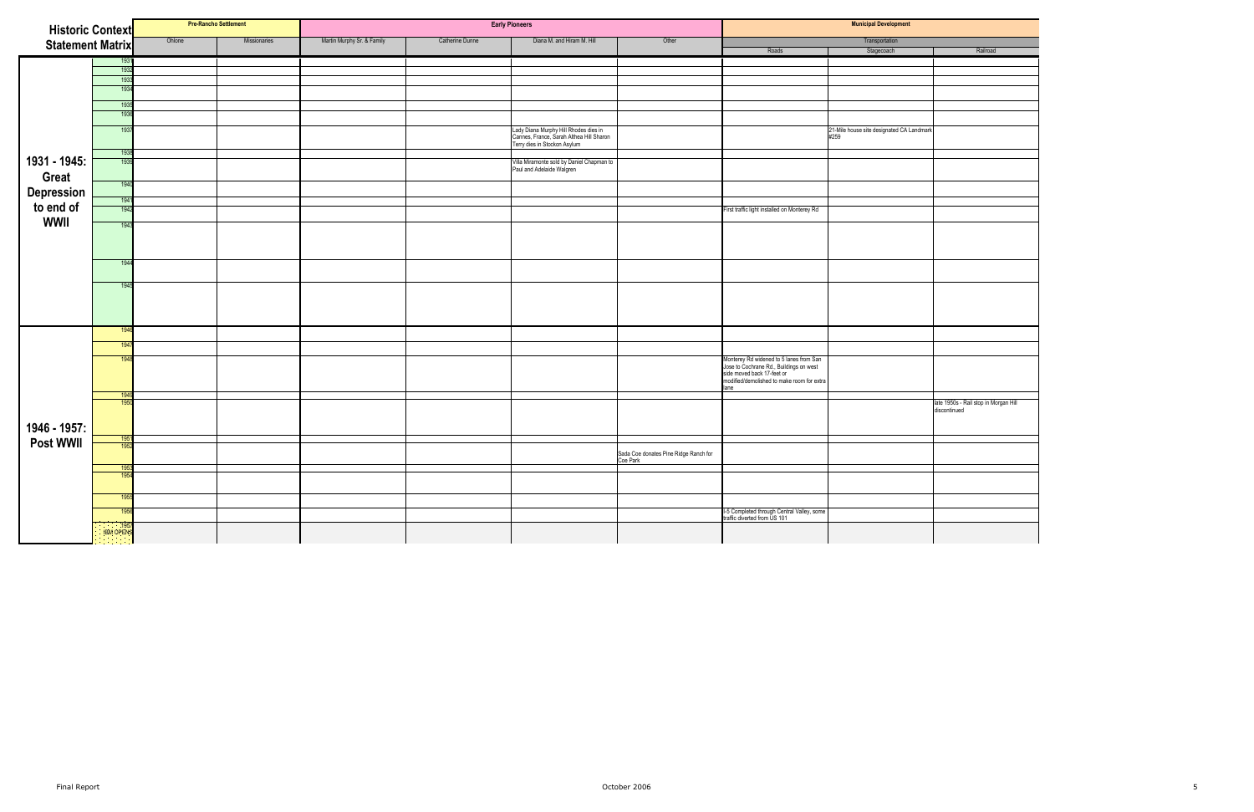| <b>Historic Context</b>                |                   |        | <b>Pre-Rancho Settlement</b> |                            |                 | <b>Early Pioneers</b>                                                                                             |                                                   | <b>Municipal Development</b>                                                                                                                                          |                                                   |                                                       |  |
|----------------------------------------|-------------------|--------|------------------------------|----------------------------|-----------------|-------------------------------------------------------------------------------------------------------------------|---------------------------------------------------|-----------------------------------------------------------------------------------------------------------------------------------------------------------------------|---------------------------------------------------|-------------------------------------------------------|--|
|                                        |                   | Ohlone | Missionaries                 | Martin Murphy Sr. & Family | Catherine Dunne | Diana M. and Hiram M. Hill                                                                                        | Other                                             |                                                                                                                                                                       | Transportation                                    |                                                       |  |
| <b>Statement Matrix</b>                |                   |        |                              |                            |                 |                                                                                                                   |                                                   | Roads                                                                                                                                                                 | Stagecoach                                        | Railroad                                              |  |
|                                        | 1931              |        |                              |                            |                 |                                                                                                                   |                                                   |                                                                                                                                                                       |                                                   |                                                       |  |
|                                        | 1932              |        |                              |                            |                 |                                                                                                                   |                                                   |                                                                                                                                                                       |                                                   |                                                       |  |
|                                        | 193               |        |                              |                            |                 |                                                                                                                   |                                                   |                                                                                                                                                                       |                                                   |                                                       |  |
|                                        | 1934              |        |                              |                            |                 |                                                                                                                   |                                                   |                                                                                                                                                                       |                                                   |                                                       |  |
|                                        | 1935              |        |                              |                            |                 |                                                                                                                   |                                                   |                                                                                                                                                                       |                                                   |                                                       |  |
|                                        | 193               |        |                              |                            |                 |                                                                                                                   |                                                   |                                                                                                                                                                       |                                                   |                                                       |  |
|                                        | 1937              |        |                              |                            |                 | Lady Diana Murphy Hill Rhodes dies in<br>Cannes, France, Sarah Althea Hill Sharon<br>Terry dies in Stockon Asylum |                                                   |                                                                                                                                                                       | 21-Mile house site designated CA Landmark<br>#259 |                                                       |  |
|                                        | 1938              |        |                              |                            |                 |                                                                                                                   |                                                   |                                                                                                                                                                       |                                                   |                                                       |  |
| 1931 - 1945:<br>Great                  | 1939              |        |                              |                            |                 | Villa Miramonte sold by Daniel Chapman to<br>Paul and Adelaide Walgren                                            |                                                   |                                                                                                                                                                       |                                                   |                                                       |  |
|                                        | 1940              |        |                              |                            |                 |                                                                                                                   |                                                   |                                                                                                                                                                       |                                                   |                                                       |  |
|                                        | 1941              |        |                              |                            |                 |                                                                                                                   |                                                   |                                                                                                                                                                       |                                                   |                                                       |  |
| Depression<br>to end of<br><b>WWII</b> | 1942              |        |                              |                            |                 |                                                                                                                   |                                                   | First traffic light installed on Monterey Rd                                                                                                                          |                                                   |                                                       |  |
|                                        | 1943              |        |                              |                            |                 |                                                                                                                   |                                                   |                                                                                                                                                                       |                                                   |                                                       |  |
|                                        |                   |        |                              |                            |                 |                                                                                                                   |                                                   |                                                                                                                                                                       |                                                   |                                                       |  |
|                                        | 1944              |        |                              |                            |                 |                                                                                                                   |                                                   |                                                                                                                                                                       |                                                   |                                                       |  |
|                                        | 1945              |        |                              |                            |                 |                                                                                                                   |                                                   |                                                                                                                                                                       |                                                   |                                                       |  |
|                                        |                   |        |                              |                            |                 |                                                                                                                   |                                                   |                                                                                                                                                                       |                                                   |                                                       |  |
|                                        | 1946              |        |                              |                            |                 |                                                                                                                   |                                                   |                                                                                                                                                                       |                                                   |                                                       |  |
|                                        | 1947              |        |                              |                            |                 |                                                                                                                   |                                                   |                                                                                                                                                                       |                                                   |                                                       |  |
|                                        | 194               |        |                              |                            |                 |                                                                                                                   |                                                   | Monterey Rd widened to 5 lanes from San<br>Jose to Cochrane Rd., Buildings on west<br>side moved back 17-feet or<br>modified/demolished to make room for extra<br>ane |                                                   |                                                       |  |
|                                        | 1949<br>195       |        |                              |                            |                 |                                                                                                                   |                                                   |                                                                                                                                                                       |                                                   | late 1950s - Rail stop in Morgan Hill<br>discontinued |  |
| 1946 - 1957:                           | 195               |        |                              |                            |                 |                                                                                                                   |                                                   |                                                                                                                                                                       |                                                   |                                                       |  |
| <b>Post WWII</b>                       | 195               |        |                              |                            |                 |                                                                                                                   |                                                   |                                                                                                                                                                       |                                                   |                                                       |  |
|                                        |                   |        |                              |                            |                 |                                                                                                                   | Sada Coe donates Pine Ridge Ranch for<br>Coe Park |                                                                                                                                                                       |                                                   |                                                       |  |
|                                        | 195               |        |                              |                            |                 |                                                                                                                   |                                                   |                                                                                                                                                                       |                                                   |                                                       |  |
|                                        | 195               |        |                              |                            |                 |                                                                                                                   |                                                   |                                                                                                                                                                       |                                                   |                                                       |  |
|                                        | 1955              |        |                              |                            |                 |                                                                                                                   |                                                   |                                                                                                                                                                       |                                                   |                                                       |  |
|                                        | 195               |        |                              |                            |                 |                                                                                                                   |                                                   |                                                                                                                                                                       |                                                   |                                                       |  |
|                                        |                   |        |                              |                            |                 |                                                                                                                   |                                                   | I-5 Completed through Central Valley, some<br>traffic diverted from US 101                                                                                            |                                                   |                                                       |  |
|                                        | 1957<br>IBM OPENS |        |                              |                            |                 |                                                                                                                   |                                                   |                                                                                                                                                                       |                                                   |                                                       |  |

|              | Railroad                                              |
|--------------|-------------------------------------------------------|
|              |                                                       |
|              |                                                       |
|              |                                                       |
|              |                                                       |
|              |                                                       |
|              |                                                       |
| <b>dmark</b> |                                                       |
|              |                                                       |
|              |                                                       |
|              |                                                       |
|              |                                                       |
|              |                                                       |
|              |                                                       |
|              |                                                       |
|              |                                                       |
|              |                                                       |
|              |                                                       |
|              |                                                       |
|              |                                                       |
|              |                                                       |
|              |                                                       |
|              |                                                       |
|              |                                                       |
|              |                                                       |
|              |                                                       |
|              |                                                       |
|              |                                                       |
|              |                                                       |
|              |                                                       |
|              |                                                       |
|              |                                                       |
|              |                                                       |
|              |                                                       |
|              | late 1950s - Rail stop in Morgan Hill<br>discontinued |
|              |                                                       |
|              |                                                       |
|              |                                                       |
|              |                                                       |
|              |                                                       |
|              |                                                       |
|              |                                                       |
|              |                                                       |
|              |                                                       |
|              |                                                       |
|              |                                                       |
|              |                                                       |
|              |                                                       |
|              |                                                       |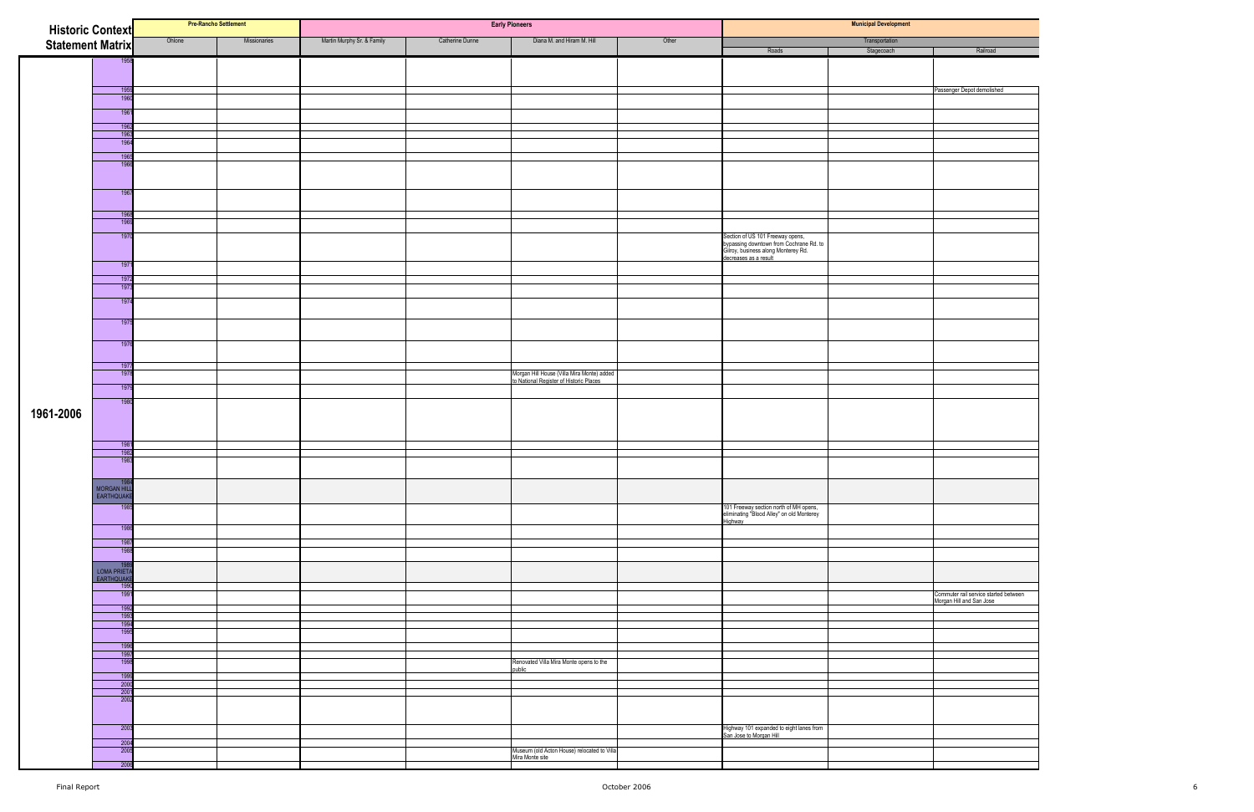| <b>Historic Context</b> |                           | <b>Pre-Rancho Settlement</b> |              |                            |                 | <b>Early Pioneers</b>                                                                 |       |                                                                                                                                             | <b>Municipal Development</b> |                                       |
|-------------------------|---------------------------|------------------------------|--------------|----------------------------|-----------------|---------------------------------------------------------------------------------------|-------|---------------------------------------------------------------------------------------------------------------------------------------------|------------------------------|---------------------------------------|
| <b>Statement Matrix</b> |                           | Ohlone                       | Missionaries | Martin Murphy Sr. & Family | Catherine Dunne | Diana M. and Hiram M. Hill                                                            | Other |                                                                                                                                             | Transportation               |                                       |
|                         | 1958                      |                              |              |                            |                 |                                                                                       |       | Roads                                                                                                                                       | Stagecoach                   | Railroad                              |
|                         |                           |                              |              |                            |                 |                                                                                       |       |                                                                                                                                             |                              |                                       |
|                         |                           |                              |              |                            |                 |                                                                                       |       |                                                                                                                                             |                              |                                       |
|                         | 1959<br>1960              |                              |              |                            |                 |                                                                                       |       |                                                                                                                                             |                              | Passenger Depot demolished            |
|                         | 1961                      |                              |              |                            |                 |                                                                                       |       |                                                                                                                                             |                              |                                       |
|                         | 1962                      |                              |              |                            |                 |                                                                                       |       |                                                                                                                                             |                              |                                       |
|                         | 196<br>1964               |                              |              |                            |                 |                                                                                       |       |                                                                                                                                             |                              |                                       |
|                         | 1965                      |                              |              |                            |                 |                                                                                       |       |                                                                                                                                             |                              |                                       |
|                         | 196                       |                              |              |                            |                 |                                                                                       |       |                                                                                                                                             |                              |                                       |
|                         |                           |                              |              |                            |                 |                                                                                       |       |                                                                                                                                             |                              |                                       |
|                         | 1967                      |                              |              |                            |                 |                                                                                       |       |                                                                                                                                             |                              |                                       |
|                         |                           |                              |              |                            |                 |                                                                                       |       |                                                                                                                                             |                              |                                       |
|                         | 196<br>196                |                              |              |                            |                 |                                                                                       |       |                                                                                                                                             |                              |                                       |
|                         | 1970                      |                              |              |                            |                 |                                                                                       |       |                                                                                                                                             |                              |                                       |
|                         |                           |                              |              |                            |                 |                                                                                       |       | Section of US 101 Freeway opens,<br>bypassing downtown from Cochrane Rd. to<br>Gilroy, business along Monterey Rd.<br>decreases as a result |                              |                                       |
|                         | 1971                      |                              |              |                            |                 |                                                                                       |       |                                                                                                                                             |                              |                                       |
|                         | 1972                      |                              |              |                            |                 |                                                                                       |       |                                                                                                                                             |                              |                                       |
|                         | 197                       |                              |              |                            |                 |                                                                                       |       |                                                                                                                                             |                              |                                       |
|                         | 1974                      |                              |              |                            |                 |                                                                                       |       |                                                                                                                                             |                              |                                       |
|                         |                           |                              |              |                            |                 |                                                                                       |       |                                                                                                                                             |                              |                                       |
|                         | 1975                      |                              |              |                            |                 |                                                                                       |       |                                                                                                                                             |                              |                                       |
|                         | 1976                      |                              |              |                            |                 |                                                                                       |       |                                                                                                                                             |                              |                                       |
|                         |                           |                              |              |                            |                 |                                                                                       |       |                                                                                                                                             |                              |                                       |
|                         | 197<br>197                |                              |              |                            |                 |                                                                                       |       |                                                                                                                                             |                              |                                       |
|                         | 1979                      |                              |              |                            |                 | Morgan Hill House (Villa Mira Monte) added<br>to National Register of Historic Places |       |                                                                                                                                             |                              |                                       |
|                         | 1980                      |                              |              |                            |                 |                                                                                       |       |                                                                                                                                             |                              |                                       |
| 1961-2006               |                           |                              |              |                            |                 |                                                                                       |       |                                                                                                                                             |                              |                                       |
|                         |                           |                              |              |                            |                 |                                                                                       |       |                                                                                                                                             |                              |                                       |
|                         | 1981                      |                              |              |                            |                 |                                                                                       |       |                                                                                                                                             |                              |                                       |
|                         | 1982                      |                              |              |                            |                 |                                                                                       |       |                                                                                                                                             |                              |                                       |
|                         | 1983                      |                              |              |                            |                 |                                                                                       |       |                                                                                                                                             |                              |                                       |
|                         |                           |                              |              |                            |                 |                                                                                       |       |                                                                                                                                             |                              |                                       |
|                         | MORGAN HILL<br>EARTHQUAKE |                              |              |                            |                 |                                                                                       |       |                                                                                                                                             |                              |                                       |
|                         | 198                       |                              |              |                            |                 |                                                                                       |       | 101 Freeway section north of MH opens,<br>eliminating "Blood Alley" on old Monterey                                                         |                              |                                       |
|                         | 1986                      |                              |              |                            |                 |                                                                                       |       | Highway                                                                                                                                     |                              |                                       |
|                         | 198                       |                              |              |                            |                 |                                                                                       |       |                                                                                                                                             |                              |                                       |
|                         | 1988                      |                              |              |                            |                 |                                                                                       |       |                                                                                                                                             |                              |                                       |
|                         | - 19                      |                              |              |                            |                 |                                                                                       |       |                                                                                                                                             |                              |                                       |
|                         | LOMA PRIETA<br>EARTHQUAKE |                              |              |                            |                 |                                                                                       |       |                                                                                                                                             |                              |                                       |
|                         | 1990<br>199               |                              |              |                            |                 |                                                                                       |       |                                                                                                                                             |                              | Commuter rail service started between |
|                         | 1992                      |                              |              |                            |                 |                                                                                       |       |                                                                                                                                             |                              | Morgan Hill and San Jose              |
|                         | 199<br>199                |                              |              |                            |                 |                                                                                       |       |                                                                                                                                             |                              |                                       |
|                         | 199                       |                              |              |                            |                 |                                                                                       |       |                                                                                                                                             |                              |                                       |
|                         | 1996<br>1997              |                              |              |                            |                 |                                                                                       |       |                                                                                                                                             |                              |                                       |
|                         | 1998                      |                              |              |                            |                 | Renovated Villa Mira Monte opens to the                                               |       |                                                                                                                                             |                              |                                       |
|                         | 199                       |                              |              |                            |                 | public                                                                                |       |                                                                                                                                             |                              |                                       |
|                         | 200<br>2001               |                              |              |                            |                 |                                                                                       |       |                                                                                                                                             |                              |                                       |
|                         | 200                       |                              |              |                            |                 |                                                                                       |       |                                                                                                                                             |                              |                                       |
|                         |                           |                              |              |                            |                 |                                                                                       |       |                                                                                                                                             |                              |                                       |
|                         | 2003                      |                              |              |                            |                 |                                                                                       |       | Highway 101 expanded to eight lanes from<br>San Jose to Morgan Hill                                                                         |                              |                                       |
|                         | 200                       |                              |              |                            |                 |                                                                                       |       |                                                                                                                                             |                              |                                       |
|                         | 2005                      |                              |              |                            |                 | Museum (old Acton House) relocated to Villa<br>Mira Monte site                        |       |                                                                                                                                             |                              |                                       |
|                         | 2006                      |                              |              |                            |                 |                                                                                       |       |                                                                                                                                             |                              |                                       |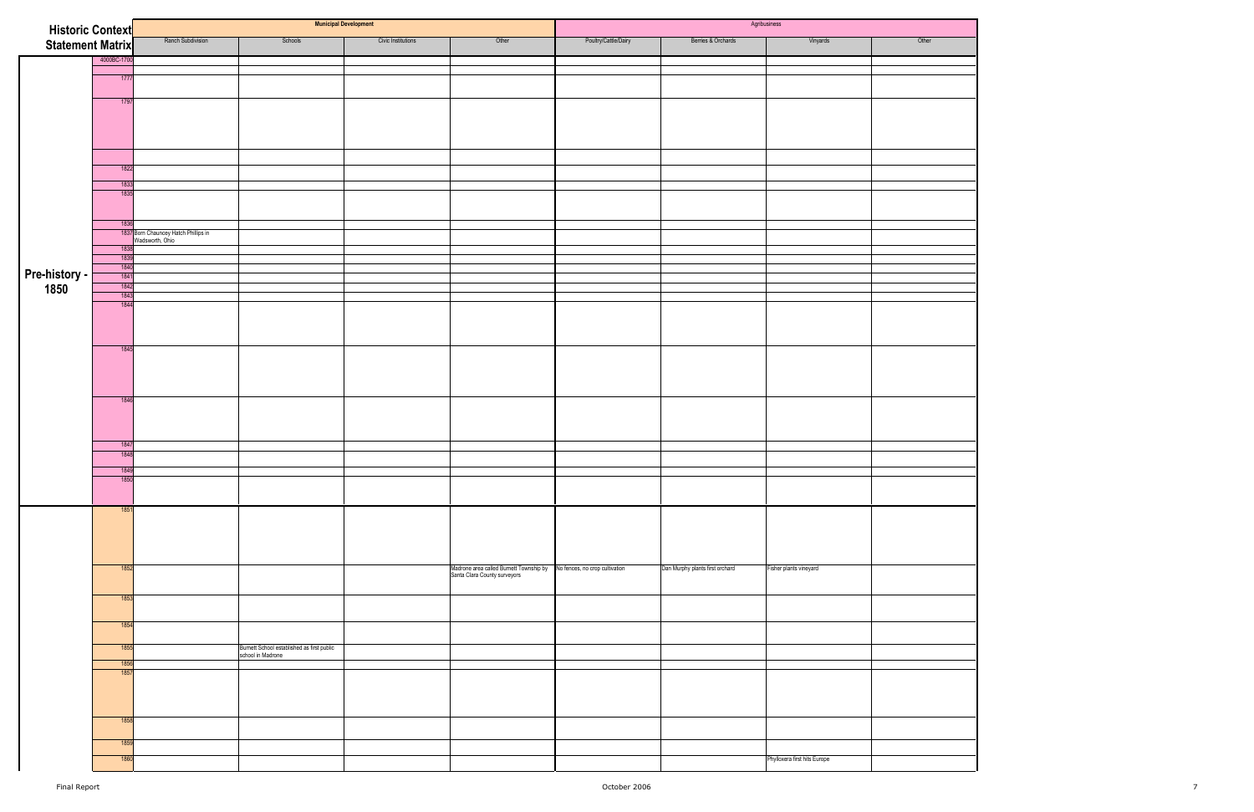| <b>Historic Context</b> |              |                                                         |                                                                 | <b>Municipal Development</b> |                                                                                                        |                      |                                 | Agribusiness                 |       |
|-------------------------|--------------|---------------------------------------------------------|-----------------------------------------------------------------|------------------------------|--------------------------------------------------------------------------------------------------------|----------------------|---------------------------------|------------------------------|-------|
| Statement Matrix        |              | Ranch Subdivision                                       | Schools                                                         | Civic Institutions           | Other                                                                                                  | Poultry/Cattle/Dairy | Berries & Orchards              | Vinyards                     | Other |
|                         | 4000BC-1700  |                                                         |                                                                 |                              |                                                                                                        |                      |                                 |                              |       |
|                         |              |                                                         |                                                                 |                              |                                                                                                        |                      |                                 |                              |       |
|                         | 1777         |                                                         |                                                                 |                              |                                                                                                        |                      |                                 |                              |       |
|                         | 1797         |                                                         |                                                                 |                              |                                                                                                        |                      |                                 |                              |       |
|                         |              |                                                         |                                                                 |                              |                                                                                                        |                      |                                 |                              |       |
|                         |              |                                                         |                                                                 |                              |                                                                                                        |                      |                                 |                              |       |
|                         |              |                                                         |                                                                 |                              |                                                                                                        |                      |                                 |                              |       |
|                         |              |                                                         |                                                                 |                              |                                                                                                        |                      |                                 |                              |       |
|                         | 1822         |                                                         |                                                                 |                              |                                                                                                        |                      |                                 |                              |       |
|                         | 1833         |                                                         |                                                                 |                              |                                                                                                        |                      |                                 |                              |       |
|                         | 1835         |                                                         |                                                                 |                              |                                                                                                        |                      |                                 |                              |       |
|                         |              |                                                         |                                                                 |                              |                                                                                                        |                      |                                 |                              |       |
|                         | 1836         |                                                         |                                                                 |                              |                                                                                                        |                      |                                 |                              |       |
|                         |              | 1837 Born Chauncey Hatch Phillips in<br>Wadsworth, Ohio |                                                                 |                              |                                                                                                        |                      |                                 |                              |       |
|                         | 1838         |                                                         |                                                                 |                              |                                                                                                        |                      |                                 |                              |       |
|                         | 1839<br>1840 |                                                         |                                                                 |                              |                                                                                                        |                      |                                 |                              |       |
|                         | 1841         |                                                         |                                                                 |                              |                                                                                                        |                      |                                 |                              |       |
| Pre-history -<br>1850   | 1842<br>1843 |                                                         |                                                                 |                              |                                                                                                        |                      |                                 |                              |       |
|                         | 1844         |                                                         |                                                                 |                              |                                                                                                        |                      |                                 |                              |       |
|                         |              |                                                         |                                                                 |                              |                                                                                                        |                      |                                 |                              |       |
|                         |              |                                                         |                                                                 |                              |                                                                                                        |                      |                                 |                              |       |
|                         | 1845         |                                                         |                                                                 |                              |                                                                                                        |                      |                                 |                              |       |
|                         |              |                                                         |                                                                 |                              |                                                                                                        |                      |                                 |                              |       |
|                         |              |                                                         |                                                                 |                              |                                                                                                        |                      |                                 |                              |       |
|                         |              |                                                         |                                                                 |                              |                                                                                                        |                      |                                 |                              |       |
|                         | 1846         |                                                         |                                                                 |                              |                                                                                                        |                      |                                 |                              |       |
|                         |              |                                                         |                                                                 |                              |                                                                                                        |                      |                                 |                              |       |
|                         |              |                                                         |                                                                 |                              |                                                                                                        |                      |                                 |                              |       |
|                         | 1847         |                                                         |                                                                 |                              |                                                                                                        |                      |                                 |                              |       |
|                         | 1848         |                                                         |                                                                 |                              |                                                                                                        |                      |                                 |                              |       |
|                         | 1849         |                                                         |                                                                 |                              |                                                                                                        |                      |                                 |                              |       |
|                         | 1850         |                                                         |                                                                 |                              |                                                                                                        |                      |                                 |                              |       |
|                         |              |                                                         |                                                                 |                              |                                                                                                        |                      |                                 |                              |       |
|                         | 1851         |                                                         |                                                                 |                              |                                                                                                        |                      |                                 |                              |       |
|                         |              |                                                         |                                                                 |                              |                                                                                                        |                      |                                 |                              |       |
|                         |              |                                                         |                                                                 |                              |                                                                                                        |                      |                                 |                              |       |
|                         |              |                                                         |                                                                 |                              |                                                                                                        |                      |                                 |                              |       |
|                         | 1852         |                                                         |                                                                 |                              | Madrone area called Burnett Township by No fences, no crop cultivation<br>Santa Clara County surveyors |                      | Dan Murphy plants first orchard | Fisher plants vineyard       |       |
|                         |              |                                                         |                                                                 |                              |                                                                                                        |                      |                                 |                              |       |
|                         | 1853         |                                                         |                                                                 |                              |                                                                                                        |                      |                                 |                              |       |
|                         |              |                                                         |                                                                 |                              |                                                                                                        |                      |                                 |                              |       |
|                         | 1854         |                                                         |                                                                 |                              |                                                                                                        |                      |                                 |                              |       |
|                         | 1855         |                                                         |                                                                 |                              |                                                                                                        |                      |                                 |                              |       |
|                         |              |                                                         | Burnett School established as first public<br>school in Madrone |                              |                                                                                                        |                      |                                 |                              |       |
|                         | 1856<br>1857 |                                                         |                                                                 |                              |                                                                                                        |                      |                                 |                              |       |
|                         |              |                                                         |                                                                 |                              |                                                                                                        |                      |                                 |                              |       |
|                         |              |                                                         |                                                                 |                              |                                                                                                        |                      |                                 |                              |       |
|                         |              |                                                         |                                                                 |                              |                                                                                                        |                      |                                 |                              |       |
|                         | 1858         |                                                         |                                                                 |                              |                                                                                                        |                      |                                 |                              |       |
|                         | 1859         |                                                         |                                                                 |                              |                                                                                                        |                      |                                 |                              |       |
|                         | 1860         |                                                         |                                                                 |                              |                                                                                                        |                      |                                 | Phylloxera first hits Europe |       |
|                         |              |                                                         |                                                                 |                              |                                                                                                        |                      |                                 |                              |       |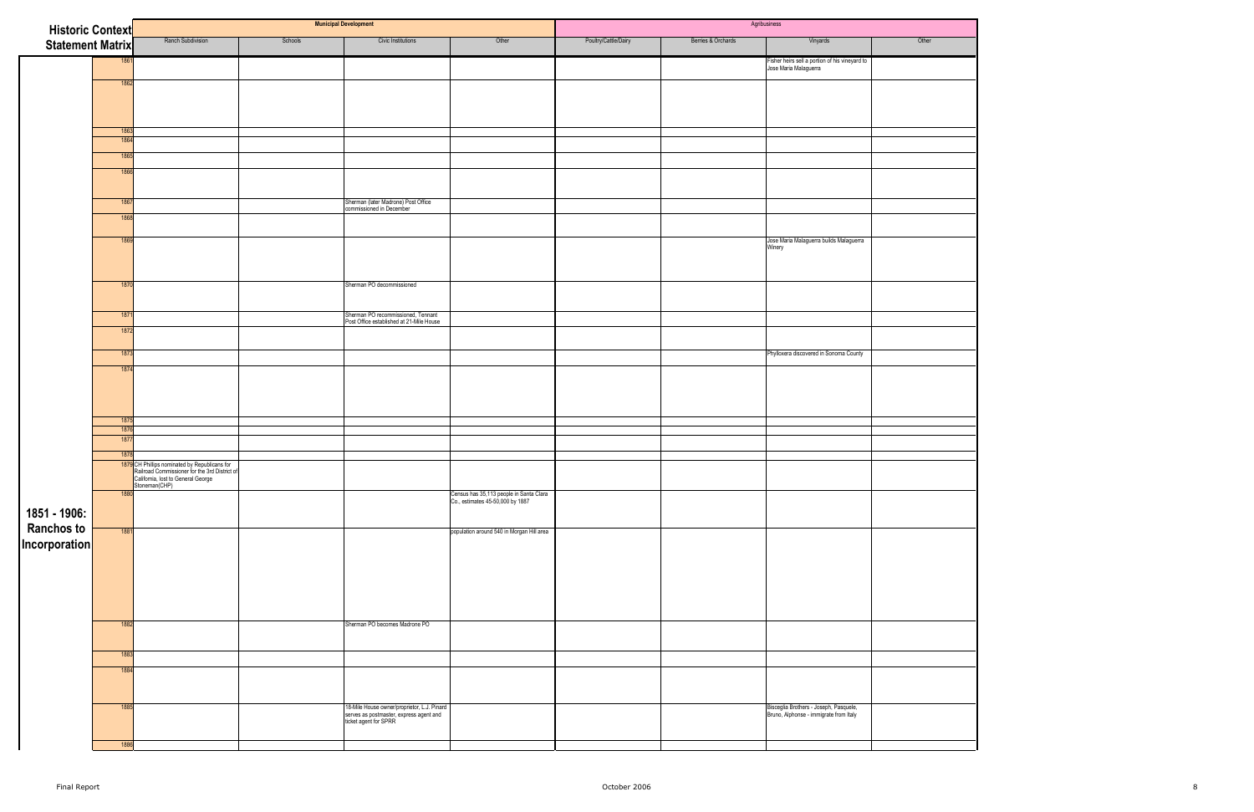| <b>Historic Context</b>                   |              |                                                                                                                                                              |         | <b>Municipal Development</b>                                                                                    |                                                                             |                      |                    | Agribusiness                                                                     |       |
|-------------------------------------------|--------------|--------------------------------------------------------------------------------------------------------------------------------------------------------------|---------|-----------------------------------------------------------------------------------------------------------------|-----------------------------------------------------------------------------|----------------------|--------------------|----------------------------------------------------------------------------------|-------|
| <b>Statement Matrix</b>                   |              | Ranch Subdivision                                                                                                                                            | Schools | Civic Institutions                                                                                              | Other                                                                       | Poultry/Cattle/Dairy | Berries & Orchards | Vinyards                                                                         | Other |
|                                           | 1861         |                                                                                                                                                              |         |                                                                                                                 |                                                                             |                      |                    | Fisher heirs sell a portion of his vineyard to<br>Jose Maria Malaguerra          |       |
|                                           | 1862         |                                                                                                                                                              |         |                                                                                                                 |                                                                             |                      |                    |                                                                                  |       |
|                                           |              |                                                                                                                                                              |         |                                                                                                                 |                                                                             |                      |                    |                                                                                  |       |
|                                           |              |                                                                                                                                                              |         |                                                                                                                 |                                                                             |                      |                    |                                                                                  |       |
|                                           | 1863         |                                                                                                                                                              |         |                                                                                                                 |                                                                             |                      |                    |                                                                                  |       |
|                                           | 1864<br>1865 |                                                                                                                                                              |         |                                                                                                                 |                                                                             |                      |                    |                                                                                  |       |
|                                           | 1866         |                                                                                                                                                              |         |                                                                                                                 |                                                                             |                      |                    |                                                                                  |       |
|                                           |              |                                                                                                                                                              |         |                                                                                                                 |                                                                             |                      |                    |                                                                                  |       |
|                                           | 1867         |                                                                                                                                                              |         | Sherman (later Madrone) Post Office<br>commissioned in December                                                 |                                                                             |                      |                    |                                                                                  |       |
|                                           | 1868         |                                                                                                                                                              |         |                                                                                                                 |                                                                             |                      |                    |                                                                                  |       |
|                                           |              |                                                                                                                                                              |         |                                                                                                                 |                                                                             |                      |                    |                                                                                  |       |
|                                           | 1869         |                                                                                                                                                              |         |                                                                                                                 |                                                                             |                      |                    | Jose Maria Malaguerra builds Malaguerra<br>Winery                                |       |
|                                           |              |                                                                                                                                                              |         |                                                                                                                 |                                                                             |                      |                    |                                                                                  |       |
|                                           | 1870         |                                                                                                                                                              |         | Sherman PO decommissioned                                                                                       |                                                                             |                      |                    |                                                                                  |       |
|                                           |              |                                                                                                                                                              |         |                                                                                                                 |                                                                             |                      |                    |                                                                                  |       |
|                                           | 1871         |                                                                                                                                                              |         | Sherman PO recommissioned, Tennant<br>Post Office established at 21-Mile House                                  |                                                                             |                      |                    |                                                                                  |       |
|                                           | 1872         |                                                                                                                                                              |         |                                                                                                                 |                                                                             |                      |                    |                                                                                  |       |
|                                           | 1873         |                                                                                                                                                              |         |                                                                                                                 |                                                                             |                      |                    | Phylloxera discovered in Sonoma County                                           |       |
|                                           | 1874         |                                                                                                                                                              |         |                                                                                                                 |                                                                             |                      |                    |                                                                                  |       |
|                                           |              |                                                                                                                                                              |         |                                                                                                                 |                                                                             |                      |                    |                                                                                  |       |
|                                           |              |                                                                                                                                                              |         |                                                                                                                 |                                                                             |                      |                    |                                                                                  |       |
|                                           | 1875         |                                                                                                                                                              |         |                                                                                                                 |                                                                             |                      |                    |                                                                                  |       |
|                                           | 1876<br>1877 |                                                                                                                                                              |         |                                                                                                                 |                                                                             |                      |                    |                                                                                  |       |
|                                           | 1878         |                                                                                                                                                              |         |                                                                                                                 |                                                                             |                      |                    |                                                                                  |       |
|                                           |              | 1879 CH Phillips nominated by Republicans for<br><b>Pailroad Commissioner for the 3rd District of</b><br>California, lost to General George<br>Stoneman(CHP) |         |                                                                                                                 |                                                                             |                      |                    |                                                                                  |       |
|                                           | 1880         |                                                                                                                                                              |         |                                                                                                                 | Census has 35,113 people in Santa Clara<br>Co., estimates 45-50,000 by 1887 |                      |                    |                                                                                  |       |
| 1851 - 1906:                              |              |                                                                                                                                                              |         |                                                                                                                 |                                                                             |                      |                    |                                                                                  |       |
| Ranchos to <del> </del><br> Incorporation | 1881         |                                                                                                                                                              |         |                                                                                                                 | population around 540 in Morgan Hill area                                   |                      |                    |                                                                                  |       |
|                                           |              |                                                                                                                                                              |         |                                                                                                                 |                                                                             |                      |                    |                                                                                  |       |
|                                           |              |                                                                                                                                                              |         |                                                                                                                 |                                                                             |                      |                    |                                                                                  |       |
|                                           |              |                                                                                                                                                              |         |                                                                                                                 |                                                                             |                      |                    |                                                                                  |       |
|                                           |              |                                                                                                                                                              |         |                                                                                                                 |                                                                             |                      |                    |                                                                                  |       |
|                                           | 1882         |                                                                                                                                                              |         | Sherman PO becomes Madrone PO                                                                                   |                                                                             |                      |                    |                                                                                  |       |
|                                           |              |                                                                                                                                                              |         |                                                                                                                 |                                                                             |                      |                    |                                                                                  |       |
|                                           | 1883         |                                                                                                                                                              |         |                                                                                                                 |                                                                             |                      |                    |                                                                                  |       |
|                                           | 1884         |                                                                                                                                                              |         |                                                                                                                 |                                                                             |                      |                    |                                                                                  |       |
|                                           |              |                                                                                                                                                              |         |                                                                                                                 |                                                                             |                      |                    |                                                                                  |       |
|                                           | 1885         |                                                                                                                                                              |         | 18-Mile House owner/proprietor, L.J. Pinard<br>serves as postmaster, express agent and<br>ticket agent for SPRR |                                                                             |                      |                    | Bisceglia Brothers - Joseph, Pasquele,<br>Bruno, Alphonse - immigrate from Italy |       |
|                                           | 1886         |                                                                                                                                                              |         |                                                                                                                 |                                                                             |                      |                    |                                                                                  |       |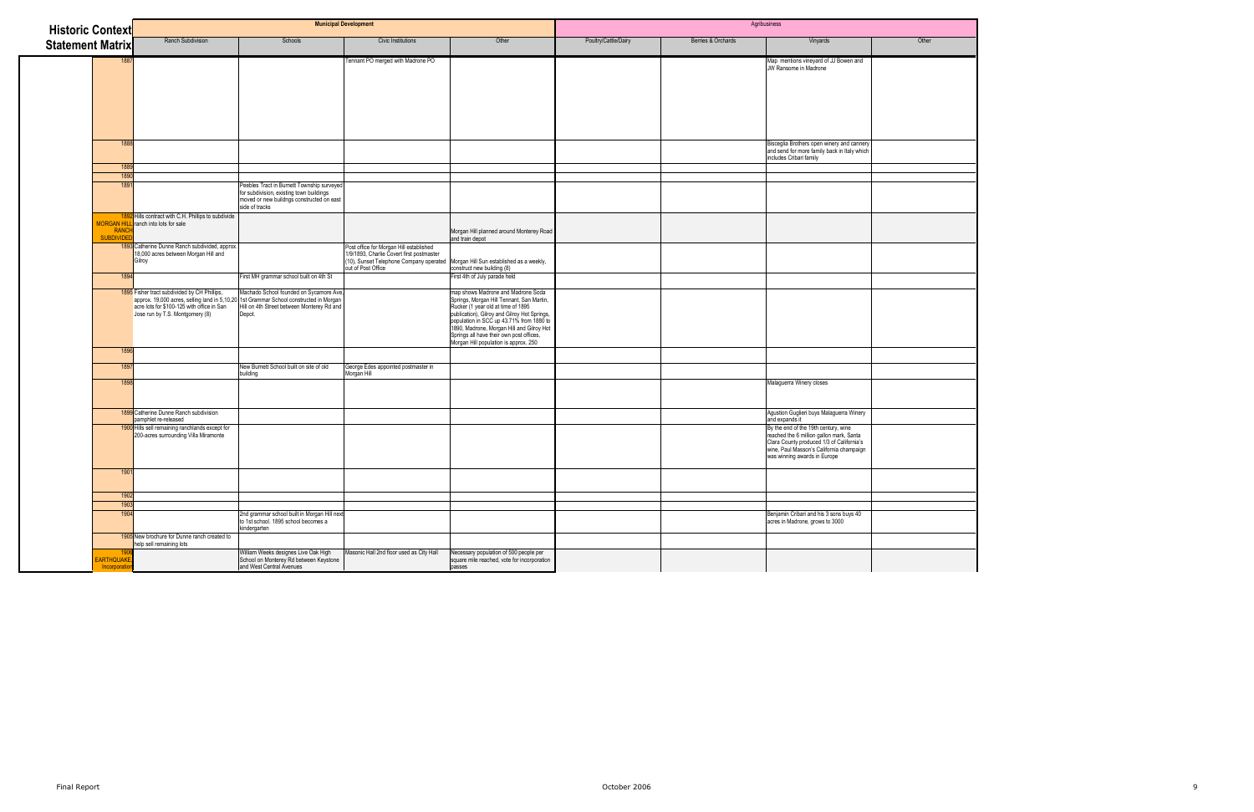| <b>Historic Context</b>           |                                                                                                                               |                                                                                                                                                                                           | <b>Municipal Development</b>                                                                                                                                                                   |                                                                                                                                                                                                                                                                                                                                                     |                      |                    | Agribusiness                                                                                                                                                                                              |       |
|-----------------------------------|-------------------------------------------------------------------------------------------------------------------------------|-------------------------------------------------------------------------------------------------------------------------------------------------------------------------------------------|------------------------------------------------------------------------------------------------------------------------------------------------------------------------------------------------|-----------------------------------------------------------------------------------------------------------------------------------------------------------------------------------------------------------------------------------------------------------------------------------------------------------------------------------------------------|----------------------|--------------------|-----------------------------------------------------------------------------------------------------------------------------------------------------------------------------------------------------------|-------|
| <b>Statement Matrix</b>           | <b>Ranch Subdivision</b>                                                                                                      | Schools                                                                                                                                                                                   | <b>Civic Institutions</b>                                                                                                                                                                      | Other                                                                                                                                                                                                                                                                                                                                               | Poultry/Cattle/Dairy | Berries & Orchards | Vinyards                                                                                                                                                                                                  | Other |
|                                   | 1887                                                                                                                          |                                                                                                                                                                                           | Tennant PO merged with Madrone PO                                                                                                                                                              |                                                                                                                                                                                                                                                                                                                                                     |                      |                    | Map mentions vineyard of JJ Bowen and<br>JW Ransome in Madrone                                                                                                                                            |       |
|                                   | 188<br>188                                                                                                                    |                                                                                                                                                                                           |                                                                                                                                                                                                |                                                                                                                                                                                                                                                                                                                                                     |                      |                    | Bisceglia Brothers open winery and cannery<br>and send for more family back in Italy which<br>includes Cribari family                                                                                     |       |
|                                   | 189                                                                                                                           |                                                                                                                                                                                           |                                                                                                                                                                                                |                                                                                                                                                                                                                                                                                                                                                     |                      |                    |                                                                                                                                                                                                           |       |
|                                   | 189                                                                                                                           | Peebles Tract in Burnett Township surveyed<br>for subdivision, existing town buildings<br>moved or new buildngs constructed on east<br>side of tracks                                     |                                                                                                                                                                                                |                                                                                                                                                                                                                                                                                                                                                     |                      |                    |                                                                                                                                                                                                           |       |
| RANCH<br><b>SUBDIVIDE</b>         | 1892 Hills contract with C.H. Phillips to subdivide<br><b>MORGAN HILL</b> ranch into lots for sale                            |                                                                                                                                                                                           |                                                                                                                                                                                                | Morgan Hill planned around Monterey Road<br>and train depot                                                                                                                                                                                                                                                                                         |                      |                    |                                                                                                                                                                                                           |       |
|                                   | 1893 Catherine Dunne Ranch subdivided, approx.<br>18,000 acres between Morgan Hill and<br>Gilroy                              |                                                                                                                                                                                           | Post office for Morgan Hill established<br>1/9/1893, Charlie Covert first postmaster<br>(10), Sunset Telephone Company operated Morgan Hill Sun established as a weekly,<br>out of Post Office | construct new building (8)                                                                                                                                                                                                                                                                                                                          |                      |                    |                                                                                                                                                                                                           |       |
|                                   | 1894                                                                                                                          | First MH grammar school built on 4th St                                                                                                                                                   |                                                                                                                                                                                                | First 4th of July parade held                                                                                                                                                                                                                                                                                                                       |                      |                    |                                                                                                                                                                                                           |       |
|                                   | 1895 Fisher tract subdivided by CH Phillips,<br>acre lots for \$100-125 with office in San<br>Jose run by T.S. Montgomery (8) | Machado School founded on Sycamore Ave,<br>approx. 19,000 acres, selling land in 5,10,20 1st Grammar School constructed in Morgan<br>Hill on 4th Street between Monterey Rd and<br>Depot. |                                                                                                                                                                                                | map shows Madrone and Madrone Soda<br>Springs, Morgan Hill Tennant, San Martin,<br>Rucker (1 year old at time of 1895<br>publication), Gilroy and Gilroy Hot Springs,<br>population in SCC up 43.71% from 1880 to<br>1890, Madrone, Morgan Hill and Gilroy Hot<br>Springs all have their own post offices,<br>Morgan Hill population is approx. 250 |                      |                    |                                                                                                                                                                                                           |       |
|                                   | 1896                                                                                                                          |                                                                                                                                                                                           |                                                                                                                                                                                                |                                                                                                                                                                                                                                                                                                                                                     |                      |                    |                                                                                                                                                                                                           |       |
|                                   | 189                                                                                                                           | New Burnett School built on site of old<br>building                                                                                                                                       | George Edes appointed postmaster in<br>Morgan Hill                                                                                                                                             |                                                                                                                                                                                                                                                                                                                                                     |                      |                    |                                                                                                                                                                                                           |       |
|                                   | 189                                                                                                                           |                                                                                                                                                                                           |                                                                                                                                                                                                |                                                                                                                                                                                                                                                                                                                                                     |                      |                    | Malaguerra Winery closes                                                                                                                                                                                  |       |
|                                   | 1899 Catherine Dunne Ranch subdivision<br>pamphlet re-released                                                                |                                                                                                                                                                                           |                                                                                                                                                                                                |                                                                                                                                                                                                                                                                                                                                                     |                      |                    | Agustion Guglieri buys Malaguerra Winery<br>and expands it                                                                                                                                                |       |
|                                   | 1900 Hills sell remaining ranchlands except for<br>200-acres surrounding Villa Miramonte                                      |                                                                                                                                                                                           |                                                                                                                                                                                                |                                                                                                                                                                                                                                                                                                                                                     |                      |                    | By the end of the 19th century, wine<br>reached the 6 million gallon mark, Santa<br>Clara County produced 1/3 of California's<br>wine, Paul Masson's California champaign<br>was winning awards in Europe |       |
|                                   | 190 <sup>°</sup>                                                                                                              |                                                                                                                                                                                           |                                                                                                                                                                                                |                                                                                                                                                                                                                                                                                                                                                     |                      |                    |                                                                                                                                                                                                           |       |
|                                   | 190<br>190                                                                                                                    |                                                                                                                                                                                           |                                                                                                                                                                                                |                                                                                                                                                                                                                                                                                                                                                     |                      |                    |                                                                                                                                                                                                           |       |
|                                   | 1904                                                                                                                          | 2nd grammar school built in Morgan Hill next<br>to 1st school. 1895 school becomes a<br>kindergarten                                                                                      |                                                                                                                                                                                                |                                                                                                                                                                                                                                                                                                                                                     |                      |                    | Benjamin Cribari and his 3 sons buys 40<br>acres in Madrone, grows to 3000                                                                                                                                |       |
|                                   | 1905 New brochure for Dunne ranch created to<br>help sell remaining lots                                                      |                                                                                                                                                                                           |                                                                                                                                                                                                |                                                                                                                                                                                                                                                                                                                                                     |                      |                    |                                                                                                                                                                                                           |       |
| <b>EARTHQUAKE</b><br>Incorporatio | 1906                                                                                                                          | William Weeks designes Live Oak High<br>School on Monterey Rd between Keystone<br>and West Central Avenues                                                                                | Masonic Hall 2nd floor used as City Hall                                                                                                                                                       | Necessary population of 500 people per<br>square mile reached, vote for incorporation<br>passes                                                                                                                                                                                                                                                     |                      |                    |                                                                                                                                                                                                           |       |

| ther<br>O |
|-----------|
|           |
|           |
|           |
|           |
|           |
|           |
|           |
|           |
|           |
|           |
|           |
|           |
|           |
|           |
|           |
|           |
|           |
|           |
|           |
|           |
|           |
|           |
|           |
|           |
|           |
|           |
|           |
|           |
|           |
|           |
|           |
|           |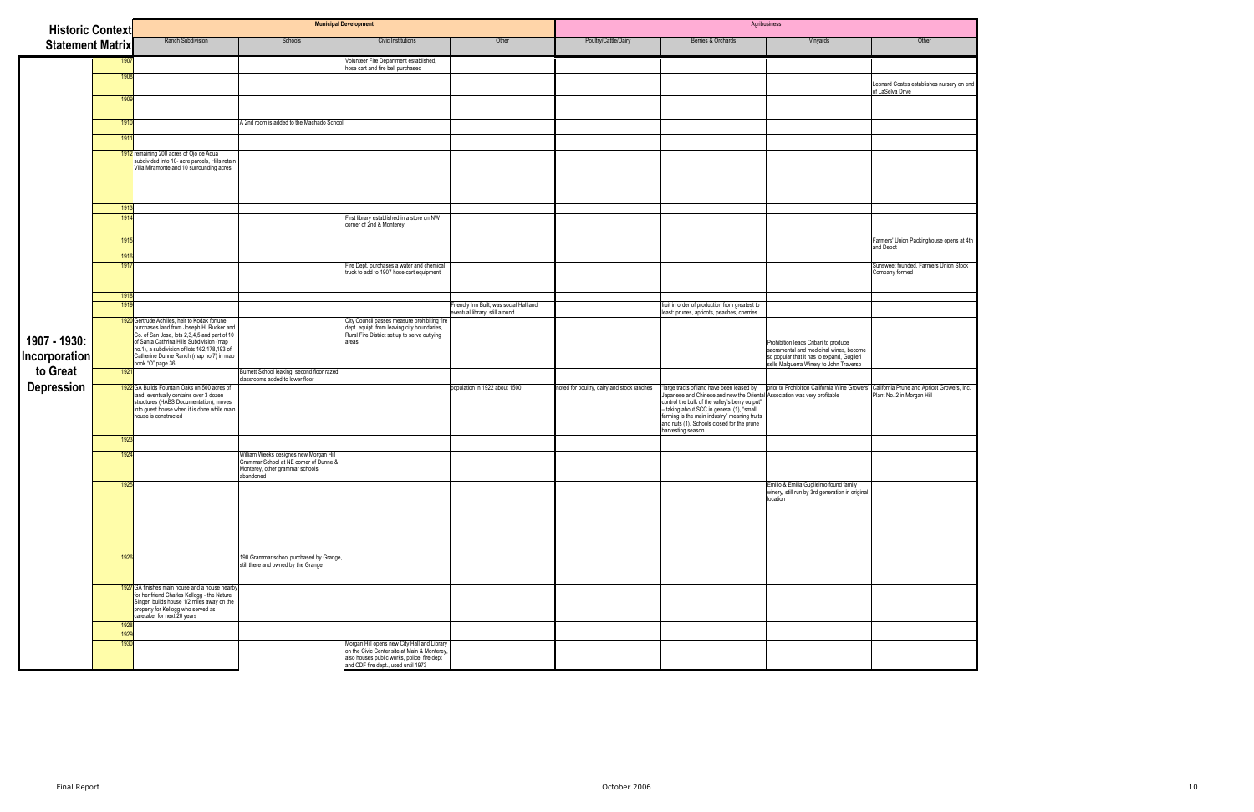| <b>Historic Context</b>                |              |                                                                                                                                                                                                                                                                                                     | <b>Municipal Development</b>                                                                                                     |                                                                                                                                                                                   |                                                                           |                                            |                                                                                                                                                                                                                                                                                                                                         | Agribusiness                                                                                                                                                             |                                                                          |
|----------------------------------------|--------------|-----------------------------------------------------------------------------------------------------------------------------------------------------------------------------------------------------------------------------------------------------------------------------------------------------|----------------------------------------------------------------------------------------------------------------------------------|-----------------------------------------------------------------------------------------------------------------------------------------------------------------------------------|---------------------------------------------------------------------------|--------------------------------------------|-----------------------------------------------------------------------------------------------------------------------------------------------------------------------------------------------------------------------------------------------------------------------------------------------------------------------------------------|--------------------------------------------------------------------------------------------------------------------------------------------------------------------------|--------------------------------------------------------------------------|
| <b>Statement Matrix</b>                |              | Ranch Subdivision                                                                                                                                                                                                                                                                                   | Schools                                                                                                                          | Civic Institutions                                                                                                                                                                | Other                                                                     | Poultry/Cattle/Dairy                       | Berries & Orchards                                                                                                                                                                                                                                                                                                                      | Vinyards                                                                                                                                                                 | Other                                                                    |
|                                        | 1907         |                                                                                                                                                                                                                                                                                                     |                                                                                                                                  | Volunteer Fire Department established,<br>hose cart and fire bell purchased                                                                                                       |                                                                           |                                            |                                                                                                                                                                                                                                                                                                                                         |                                                                                                                                                                          |                                                                          |
|                                        | 1908         |                                                                                                                                                                                                                                                                                                     |                                                                                                                                  |                                                                                                                                                                                   |                                                                           |                                            |                                                                                                                                                                                                                                                                                                                                         |                                                                                                                                                                          | Leonard Coates establishes nursery on end<br>of LaSelva Drive            |
|                                        | 1909         |                                                                                                                                                                                                                                                                                                     |                                                                                                                                  |                                                                                                                                                                                   |                                                                           |                                            |                                                                                                                                                                                                                                                                                                                                         |                                                                                                                                                                          |                                                                          |
|                                        | 1910         |                                                                                                                                                                                                                                                                                                     | A 2nd room is added to the Machado School                                                                                        |                                                                                                                                                                                   |                                                                           |                                            |                                                                                                                                                                                                                                                                                                                                         |                                                                                                                                                                          |                                                                          |
|                                        | 1911         |                                                                                                                                                                                                                                                                                                     |                                                                                                                                  |                                                                                                                                                                                   |                                                                           |                                            |                                                                                                                                                                                                                                                                                                                                         |                                                                                                                                                                          |                                                                          |
|                                        |              | 1912 remaining 200 acres of Ojo de Aqua<br>subdivided into 10- acre parcels, Hills retain<br>Villa Miramonte and 10 surrounding acres                                                                                                                                                               |                                                                                                                                  |                                                                                                                                                                                   |                                                                           |                                            |                                                                                                                                                                                                                                                                                                                                         |                                                                                                                                                                          |                                                                          |
|                                        | 1913         |                                                                                                                                                                                                                                                                                                     |                                                                                                                                  |                                                                                                                                                                                   |                                                                           |                                            |                                                                                                                                                                                                                                                                                                                                         |                                                                                                                                                                          |                                                                          |
|                                        | 1914         |                                                                                                                                                                                                                                                                                                     |                                                                                                                                  | First library established in a store on NW<br>corner of 2nd & Monterey                                                                                                            |                                                                           |                                            |                                                                                                                                                                                                                                                                                                                                         |                                                                                                                                                                          |                                                                          |
|                                        | 1915         |                                                                                                                                                                                                                                                                                                     |                                                                                                                                  |                                                                                                                                                                                   |                                                                           |                                            |                                                                                                                                                                                                                                                                                                                                         |                                                                                                                                                                          | Farmers' Union Packinghouse opens at 4th<br>and Depot                    |
|                                        | 1916<br>1917 |                                                                                                                                                                                                                                                                                                     |                                                                                                                                  | Fire Dept. purchases a water and chemical<br>truck to add to 1907 hose cart equipment                                                                                             |                                                                           |                                            |                                                                                                                                                                                                                                                                                                                                         |                                                                                                                                                                          | Sunsweet founded, Farmers Union Stock<br>Company formed                  |
|                                        | 1918         |                                                                                                                                                                                                                                                                                                     |                                                                                                                                  |                                                                                                                                                                                   |                                                                           |                                            |                                                                                                                                                                                                                                                                                                                                         |                                                                                                                                                                          |                                                                          |
|                                        | 1919         |                                                                                                                                                                                                                                                                                                     |                                                                                                                                  |                                                                                                                                                                                   | Friendly Inn Built, was social Hall and<br>eventual library, still around |                                            | fruit in order of production from greatest to<br>least: prunes, apricots, peaches, cherries                                                                                                                                                                                                                                             |                                                                                                                                                                          |                                                                          |
| 1907 - 1930:<br>$\sf{Incorporation}  $ |              | 1920 Gertrude Achilles, heir to Kodak fortune<br>purchases land from Joseph H. Rucker and<br>Co. of San Jose, lots 2,3,4,5 and part of 10<br>of Santa Cathrina Hills Subdivision (map<br>no.1), a subdivision of lots 162,178,193 of<br>Catherine Dunne Ranch (map no.7) in map<br>book "O" page 36 |                                                                                                                                  | City Council passes measure prohibiting fire<br>dept. equipt. from leaving city boundaries,<br>Rural Fire District set up to serve outlying<br>areas                              |                                                                           |                                            |                                                                                                                                                                                                                                                                                                                                         | Prohibition leads Cribari to produce<br>sacramental and medicinal wines, become<br>so popular that it has to expand, Guglieri<br>sells Malguerra Winery to John Traverso |                                                                          |
| to Great                               | 1921         |                                                                                                                                                                                                                                                                                                     | Burnett School leaking, second floor razed,<br>classrooms added to lower floor                                                   |                                                                                                                                                                                   |                                                                           |                                            |                                                                                                                                                                                                                                                                                                                                         |                                                                                                                                                                          |                                                                          |
| <b>Depression</b>                      |              | 1922 GA Builds Fountain Oaks on 500 acres of<br>land, eventually contains over 3 dozen<br>structures (HABS Documentation), moves<br>into guest house when it is done while main<br>house is constructed                                                                                             |                                                                                                                                  |                                                                                                                                                                                   | population in 1922 about 1500                                             | noted for poultry, dairy and stock ranches | large tracts of land have been leased by<br>Japanese and Chinese and now the Oriental Association was very profitable<br>control the bulk of the valley's berry output"<br>- taking about SCC in general (1), "small<br>farming is the main industry" meaning fruits<br>and nuts (1), Schools closed for the prune<br>harvesting season | prior to Prohibition California Wine Growers'                                                                                                                            | California Prune and Apricot Growers, Inc.<br>Plant No. 2 in Morgan Hill |
|                                        | 1923         |                                                                                                                                                                                                                                                                                                     |                                                                                                                                  |                                                                                                                                                                                   |                                                                           |                                            |                                                                                                                                                                                                                                                                                                                                         |                                                                                                                                                                          |                                                                          |
|                                        | 1924         |                                                                                                                                                                                                                                                                                                     | William Weeks designes new Morgan Hill<br>Grammar School at NE corner of Dunne &<br>Monterey, other grammar schools<br>abandoned |                                                                                                                                                                                   |                                                                           |                                            |                                                                                                                                                                                                                                                                                                                                         |                                                                                                                                                                          |                                                                          |
|                                        | 1925         |                                                                                                                                                                                                                                                                                                     |                                                                                                                                  |                                                                                                                                                                                   |                                                                           |                                            |                                                                                                                                                                                                                                                                                                                                         | Emilio & Emilia Guglielmo found family<br>winery, still run by 3rd generation in original<br>location                                                                    |                                                                          |
|                                        | 1926         |                                                                                                                                                                                                                                                                                                     | 190 Grammar school purchased by Grange,<br>still there and owned by the Grange                                                   |                                                                                                                                                                                   |                                                                           |                                            |                                                                                                                                                                                                                                                                                                                                         |                                                                                                                                                                          |                                                                          |
|                                        |              | 1927 GA finishes main house and a house nearby<br>for her friend Charles Kellogg - the Nature<br>Singer, builds house 1/2 miles away on the<br>property for Kellogg who served as<br>caretaker for next 20 years                                                                                    |                                                                                                                                  |                                                                                                                                                                                   |                                                                           |                                            |                                                                                                                                                                                                                                                                                                                                         |                                                                                                                                                                          |                                                                          |
|                                        | 1928<br>1929 |                                                                                                                                                                                                                                                                                                     |                                                                                                                                  |                                                                                                                                                                                   |                                                                           |                                            |                                                                                                                                                                                                                                                                                                                                         |                                                                                                                                                                          |                                                                          |
|                                        | 1930         |                                                                                                                                                                                                                                                                                                     |                                                                                                                                  | Morgan Hill opens new City Hall and Library<br>on the Civic Center site at Main & Monterey,<br>also houses public works, police, fire dept<br>and CDF fire dept., used until 1973 |                                                                           |                                            |                                                                                                                                                                                                                                                                                                                                         |                                                                                                                                                                          |                                                                          |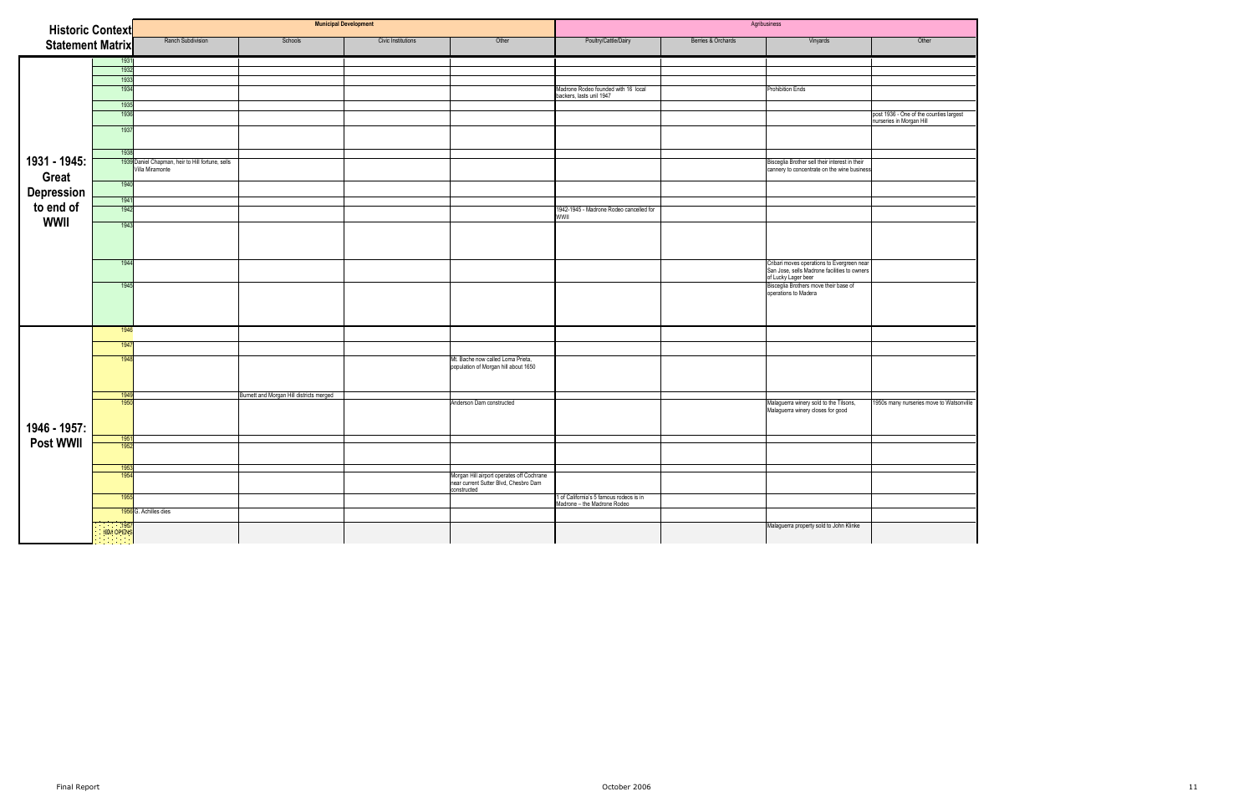| <b>Historic Context</b>      |                   |                                                                     |                                          | <b>Municipal Development</b> |                                                                                                   | Agribusiness                                                           |                    |                                                                                                                   |                                                                     |
|------------------------------|-------------------|---------------------------------------------------------------------|------------------------------------------|------------------------------|---------------------------------------------------------------------------------------------------|------------------------------------------------------------------------|--------------------|-------------------------------------------------------------------------------------------------------------------|---------------------------------------------------------------------|
| <b>Statement Matrix</b>      |                   | Ranch Subdivision                                                   | Schools                                  | Civic Institutions           | Other                                                                                             | Poultry/Cattle/Dairy                                                   | Berries & Orchards | Vinyards                                                                                                          | Other                                                               |
|                              | 1931              |                                                                     |                                          |                              |                                                                                                   |                                                                        |                    |                                                                                                                   |                                                                     |
|                              | 1932              |                                                                     |                                          |                              |                                                                                                   |                                                                        |                    |                                                                                                                   |                                                                     |
|                              | 1933              |                                                                     |                                          |                              |                                                                                                   |                                                                        |                    |                                                                                                                   |                                                                     |
|                              | 1934              |                                                                     |                                          |                              |                                                                                                   | Madrone Rodeo founded with 16 local<br>backers, lasts unil 1947        |                    | <b>Prohibition Ends</b>                                                                                           |                                                                     |
|                              | 1935              |                                                                     |                                          |                              |                                                                                                   |                                                                        |                    |                                                                                                                   |                                                                     |
|                              | 1936              |                                                                     |                                          |                              |                                                                                                   |                                                                        |                    |                                                                                                                   | post 1936 - One of the counties largest<br>nurseries in Morgan Hill |
|                              | 1937              |                                                                     |                                          |                              |                                                                                                   |                                                                        |                    |                                                                                                                   |                                                                     |
|                              | 1938              |                                                                     |                                          |                              |                                                                                                   |                                                                        |                    |                                                                                                                   |                                                                     |
| 1931 - 1945:<br><b>Great</b> |                   | 1939 Daniel Chapman, heir to Hill fortune, sells<br>Villa Miramonte |                                          |                              |                                                                                                   |                                                                        |                    | Bisceglia Brother sell their interest in their<br>cannery to concentrate on the wine business                     |                                                                     |
| <b>Depression</b>            | 1940              |                                                                     |                                          |                              |                                                                                                   |                                                                        |                    |                                                                                                                   |                                                                     |
|                              | 1941              |                                                                     |                                          |                              |                                                                                                   |                                                                        |                    |                                                                                                                   |                                                                     |
| to end of                    | 1942              |                                                                     |                                          |                              |                                                                                                   | 1942-1945 - Madrone Rodeo cancelled for<br>WWII                        |                    |                                                                                                                   |                                                                     |
| <b>WWII</b>                  | 1943              |                                                                     |                                          |                              |                                                                                                   |                                                                        |                    |                                                                                                                   |                                                                     |
|                              |                   |                                                                     |                                          |                              |                                                                                                   |                                                                        |                    |                                                                                                                   |                                                                     |
|                              | 1944              |                                                                     |                                          |                              |                                                                                                   |                                                                        |                    | Cribari moves operations to Evergreen near<br>San Jose, sells Madrone facilities to owners<br>of Lucky Lager beer |                                                                     |
|                              | 1945              |                                                                     |                                          |                              |                                                                                                   |                                                                        |                    | Bisceglia Brothers move their base of<br>operations to Madera                                                     |                                                                     |
|                              | 1946              |                                                                     |                                          |                              |                                                                                                   |                                                                        |                    |                                                                                                                   |                                                                     |
|                              | 1947              |                                                                     |                                          |                              |                                                                                                   |                                                                        |                    |                                                                                                                   |                                                                     |
|                              | 1948              |                                                                     |                                          |                              | Mt. Bache now called Loma Prieta,<br>population of Morgan hill about 1650                         |                                                                        |                    |                                                                                                                   |                                                                     |
|                              | 1949              |                                                                     | Burnett and Morgan Hill districts merged |                              |                                                                                                   |                                                                        |                    |                                                                                                                   |                                                                     |
| 1946 - 1957:                 | 1950              |                                                                     |                                          |                              | Anderson Dam constructed                                                                          |                                                                        |                    | Malaguerra winery sold to the Tilsons,<br>Malaguerra winery closes for good                                       | 1950s many nurseries move to Watsonville                            |
|                              | 1951              |                                                                     |                                          |                              |                                                                                                   |                                                                        |                    |                                                                                                                   |                                                                     |
| <b>Post WWII</b>             | 1952              |                                                                     |                                          |                              |                                                                                                   |                                                                        |                    |                                                                                                                   |                                                                     |
|                              |                   |                                                                     |                                          |                              |                                                                                                   |                                                                        |                    |                                                                                                                   |                                                                     |
|                              | 1953<br>1954      |                                                                     |                                          |                              |                                                                                                   |                                                                        |                    |                                                                                                                   |                                                                     |
|                              |                   |                                                                     |                                          |                              | Morgan Hill airport operates off Cochrane<br>near current Sutter Blvd, Chesbro Dam<br>constructed |                                                                        |                    |                                                                                                                   |                                                                     |
|                              | 1955              |                                                                     |                                          |                              |                                                                                                   | 1 of California's 5 famous rodeos is in<br>Madrone – the Madrone Rodeo |                    |                                                                                                                   |                                                                     |
|                              |                   | 1956 G. Achilles dies                                               |                                          |                              |                                                                                                   |                                                                        |                    |                                                                                                                   |                                                                     |
|                              | 1957<br>IBM OPENS |                                                                     |                                          |                              |                                                                                                   |                                                                        |                    | Malaguerra property sold to John Klinke                                                                           |                                                                     |
|                              |                   |                                                                     |                                          |                              |                                                                                                   |                                                                        |                    |                                                                                                                   |                                                                     |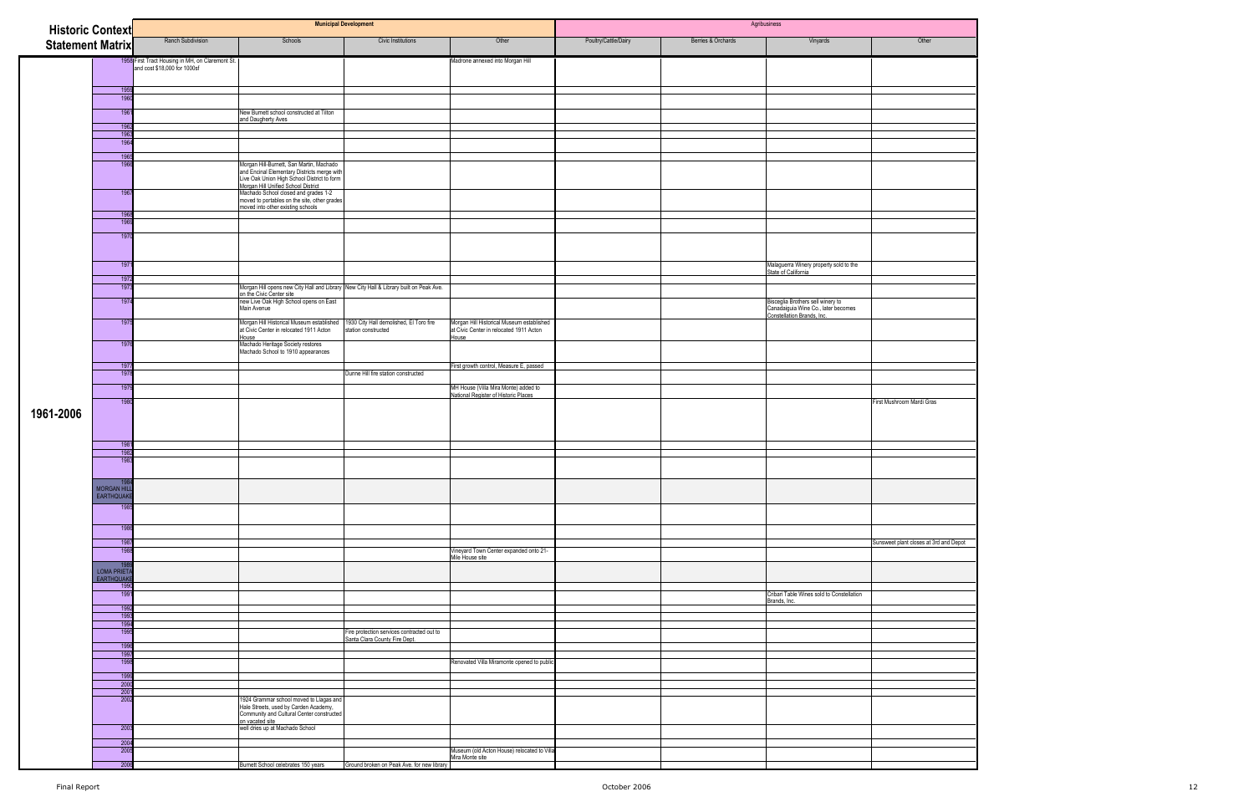|                         | <b>Historic Context</b> |                                                                                  |                                                                                                                                                                                                                       | <b>Municipal Development</b>                                                |                                                                                      |                      |                    | Agribusiness                                                                                           |                                        |
|-------------------------|-------------------------|----------------------------------------------------------------------------------|-----------------------------------------------------------------------------------------------------------------------------------------------------------------------------------------------------------------------|-----------------------------------------------------------------------------|--------------------------------------------------------------------------------------|----------------------|--------------------|--------------------------------------------------------------------------------------------------------|----------------------------------------|
| <b>Statement Matrix</b> |                         | Ranch Subdivision                                                                | Schools                                                                                                                                                                                                               | Civic Institutions                                                          | Other                                                                                | Poultry/Cattle/Dairy | Berries & Orchards | Vinyards                                                                                               | Other                                  |
|                         |                         |                                                                                  |                                                                                                                                                                                                                       |                                                                             | Madrone annexed into Morgan Hill                                                     |                      |                    |                                                                                                        |                                        |
|                         |                         | 1958 First Tract Housing in MH, on Claremont St.<br>and cost \$18,000 for 1000sf |                                                                                                                                                                                                                       |                                                                             |                                                                                      |                      |                    |                                                                                                        |                                        |
|                         |                         |                                                                                  |                                                                                                                                                                                                                       |                                                                             |                                                                                      |                      |                    |                                                                                                        |                                        |
|                         | 1959<br>1960            |                                                                                  |                                                                                                                                                                                                                       |                                                                             |                                                                                      |                      |                    |                                                                                                        |                                        |
|                         | 1961                    |                                                                                  | New Burnett school constructed at Tilton                                                                                                                                                                              |                                                                             |                                                                                      |                      |                    |                                                                                                        |                                        |
|                         | 1962                    |                                                                                  | and Daugherty Aves                                                                                                                                                                                                    |                                                                             |                                                                                      |                      |                    |                                                                                                        |                                        |
|                         | 1963                    |                                                                                  |                                                                                                                                                                                                                       |                                                                             |                                                                                      |                      |                    |                                                                                                        |                                        |
|                         | 1964                    |                                                                                  |                                                                                                                                                                                                                       |                                                                             |                                                                                      |                      |                    |                                                                                                        |                                        |
|                         | 1965<br>196             |                                                                                  | Morgan Hill-Burnett, San Martin, Machado<br>and Encinal Elementary Districts merge with<br>Live Oak Union High School District to form<br>Morgan Hill Unified School District<br>Machado School closed and grades 1-2 |                                                                             |                                                                                      |                      |                    |                                                                                                        |                                        |
|                         | 1967                    |                                                                                  | moved to portables on the site, other grades                                                                                                                                                                          |                                                                             |                                                                                      |                      |                    |                                                                                                        |                                        |
|                         | 1968                    |                                                                                  | moved into other existing schools                                                                                                                                                                                     |                                                                             |                                                                                      |                      |                    |                                                                                                        |                                        |
|                         | 1969                    |                                                                                  |                                                                                                                                                                                                                       |                                                                             |                                                                                      |                      |                    |                                                                                                        |                                        |
|                         | 1970                    |                                                                                  |                                                                                                                                                                                                                       |                                                                             |                                                                                      |                      |                    |                                                                                                        |                                        |
|                         | 1971                    |                                                                                  |                                                                                                                                                                                                                       |                                                                             |                                                                                      |                      |                    | Malaguerra Winery property sold to the<br>State of California                                          |                                        |
|                         | 1972                    |                                                                                  |                                                                                                                                                                                                                       |                                                                             |                                                                                      |                      |                    |                                                                                                        |                                        |
|                         | 1973                    |                                                                                  | Morgan Hill opens new City Hall and Library New City Hall & Library built on Peak Ave.<br>on the Civic Center site                                                                                                    |                                                                             |                                                                                      |                      |                    |                                                                                                        |                                        |
|                         | 1974                    |                                                                                  | new Live Oak High School opens on East<br>Main Avenue                                                                                                                                                                 |                                                                             |                                                                                      |                      |                    | Bisceglia Brothers sell winery to<br>Canadaiguia Wine Co., later becomes<br>Constellation Brands, lnc. |                                        |
|                         | 1975                    |                                                                                  | Morgan Hill Historical Museum established<br>at Civic Center in relocated 1911 Acton                                                                                                                                  | 1930 City Hall demolished, El Toro fire<br>station constructed              | Morgan Hill Historical Museum established<br>at Civic Center in relocated 1911 Acton |                      |                    |                                                                                                        |                                        |
|                         | 1976                    |                                                                                  | House<br>Machado Heritage Society restores                                                                                                                                                                            |                                                                             | House                                                                                |                      |                    |                                                                                                        |                                        |
|                         |                         |                                                                                  | Machado School to 1910 appearances                                                                                                                                                                                    |                                                                             |                                                                                      |                      |                    |                                                                                                        |                                        |
|                         | 1977<br>1978            |                                                                                  |                                                                                                                                                                                                                       | Dunne Hill fire station constructed                                         | First growth control, Measure E, passed                                              |                      |                    |                                                                                                        |                                        |
|                         | 1979                    |                                                                                  |                                                                                                                                                                                                                       |                                                                             | MH House (Villa Mira Monte) added to                                                 |                      |                    |                                                                                                        |                                        |
|                         | 1980                    |                                                                                  |                                                                                                                                                                                                                       |                                                                             | National Register of Historic Places                                                 |                      |                    |                                                                                                        | First Mushroom Mardi Gras              |
| 1961-2006               |                         |                                                                                  |                                                                                                                                                                                                                       |                                                                             |                                                                                      |                      |                    |                                                                                                        |                                        |
|                         | 1981                    |                                                                                  |                                                                                                                                                                                                                       |                                                                             |                                                                                      |                      |                    |                                                                                                        |                                        |
|                         | 1982<br>1983            |                                                                                  |                                                                                                                                                                                                                       |                                                                             |                                                                                      |                      |                    |                                                                                                        |                                        |
|                         |                         |                                                                                  |                                                                                                                                                                                                                       |                                                                             |                                                                                      |                      |                    |                                                                                                        |                                        |
|                         | <b>MORGAN HILI</b>      |                                                                                  |                                                                                                                                                                                                                       |                                                                             |                                                                                      |                      |                    |                                                                                                        |                                        |
|                         | <b>EARTHQUAKI</b>       |                                                                                  |                                                                                                                                                                                                                       |                                                                             |                                                                                      |                      |                    |                                                                                                        |                                        |
|                         | 198                     |                                                                                  |                                                                                                                                                                                                                       |                                                                             |                                                                                      |                      |                    |                                                                                                        |                                        |
|                         | 1986                    |                                                                                  |                                                                                                                                                                                                                       |                                                                             |                                                                                      |                      |                    |                                                                                                        |                                        |
|                         | 1987                    |                                                                                  |                                                                                                                                                                                                                       |                                                                             |                                                                                      |                      |                    |                                                                                                        | Sunsweet plant closes at 3rd and Depot |
|                         | 1988                    |                                                                                  |                                                                                                                                                                                                                       |                                                                             | Vineyard Town Center expanded onto 21-<br>Mile House site                            |                      |                    |                                                                                                        |                                        |
|                         | 195<br>LOMA PRIETA      |                                                                                  |                                                                                                                                                                                                                       |                                                                             |                                                                                      |                      |                    |                                                                                                        |                                        |
|                         | <b>EARTHQUAKI</b>       |                                                                                  |                                                                                                                                                                                                                       |                                                                             |                                                                                      |                      |                    |                                                                                                        |                                        |
|                         | 1990<br>1991            |                                                                                  |                                                                                                                                                                                                                       |                                                                             |                                                                                      |                      |                    | Cribari Table Wines sold to Constellation                                                              |                                        |
|                         | 1992                    |                                                                                  |                                                                                                                                                                                                                       |                                                                             |                                                                                      |                      |                    | Brands, Inc.                                                                                           |                                        |
|                         | 1993<br>1994            |                                                                                  |                                                                                                                                                                                                                       |                                                                             |                                                                                      |                      |                    |                                                                                                        |                                        |
|                         | 1995                    |                                                                                  |                                                                                                                                                                                                                       | Fire protection services contracted out to<br>Santa Clara County Fire Dept. |                                                                                      |                      |                    |                                                                                                        |                                        |
|                         | 1996                    |                                                                                  |                                                                                                                                                                                                                       |                                                                             |                                                                                      |                      |                    |                                                                                                        |                                        |
|                         | 199<br>1998             |                                                                                  |                                                                                                                                                                                                                       |                                                                             | Renovated Villa Miramonte opened to public                                           |                      |                    |                                                                                                        |                                        |
|                         | 1999                    |                                                                                  |                                                                                                                                                                                                                       |                                                                             |                                                                                      |                      |                    |                                                                                                        |                                        |
|                         | 2000                    |                                                                                  |                                                                                                                                                                                                                       |                                                                             |                                                                                      |                      |                    |                                                                                                        |                                        |
|                         | 200<br>2002             |                                                                                  | 1924 Grammar school moved to Llagas and                                                                                                                                                                               |                                                                             |                                                                                      |                      |                    |                                                                                                        |                                        |
|                         |                         |                                                                                  | Hale Streets, used by Carden Academy,<br>Community and Cultural Center constructed                                                                                                                                    |                                                                             |                                                                                      |                      |                    |                                                                                                        |                                        |
|                         | 2003                    |                                                                                  | on vacated site<br>well dries up at Machado School                                                                                                                                                                    |                                                                             |                                                                                      |                      |                    |                                                                                                        |                                        |
|                         | 2004                    |                                                                                  |                                                                                                                                                                                                                       |                                                                             |                                                                                      |                      |                    |                                                                                                        |                                        |
|                         | 2005                    |                                                                                  |                                                                                                                                                                                                                       |                                                                             | Museum (old Acton House) relocated to Villa                                          |                      |                    |                                                                                                        |                                        |
|                         | 2006                    |                                                                                  | Burnett School celebrates 150 years                                                                                                                                                                                   | Ground broken on Peak Ave. for new library                                  | Mira Monte site                                                                      |                      |                    |                                                                                                        |                                        |

| Other            |  |
|------------------|--|
|                  |  |
|                  |  |
|                  |  |
|                  |  |
|                  |  |
|                  |  |
|                  |  |
|                  |  |
|                  |  |
|                  |  |
|                  |  |
|                  |  |
|                  |  |
|                  |  |
|                  |  |
|                  |  |
|                  |  |
|                  |  |
|                  |  |
|                  |  |
|                  |  |
|                  |  |
|                  |  |
|                  |  |
|                  |  |
|                  |  |
|                  |  |
|                  |  |
|                  |  |
|                  |  |
|                  |  |
|                  |  |
|                  |  |
|                  |  |
|                  |  |
|                  |  |
|                  |  |
|                  |  |
|                  |  |
|                  |  |
|                  |  |
|                  |  |
|                  |  |
|                  |  |
|                  |  |
|                  |  |
|                  |  |
|                  |  |
|                  |  |
|                  |  |
|                  |  |
|                  |  |
|                  |  |
|                  |  |
|                  |  |
|                  |  |
|                  |  |
|                  |  |
|                  |  |
|                  |  |
|                  |  |
|                  |  |
|                  |  |
|                  |  |
|                  |  |
|                  |  |
|                  |  |
|                  |  |
| at 3rd and Depot |  |
|                  |  |
|                  |  |
|                  |  |
|                  |  |
|                  |  |
|                  |  |
|                  |  |
|                  |  |
|                  |  |
|                  |  |
|                  |  |
|                  |  |
|                  |  |
|                  |  |
|                  |  |
|                  |  |
|                  |  |
|                  |  |
|                  |  |
|                  |  |
|                  |  |
|                  |  |
|                  |  |
| rdi Gras         |  |
|                  |  |
|                  |  |
|                  |  |
|                  |  |
|                  |  |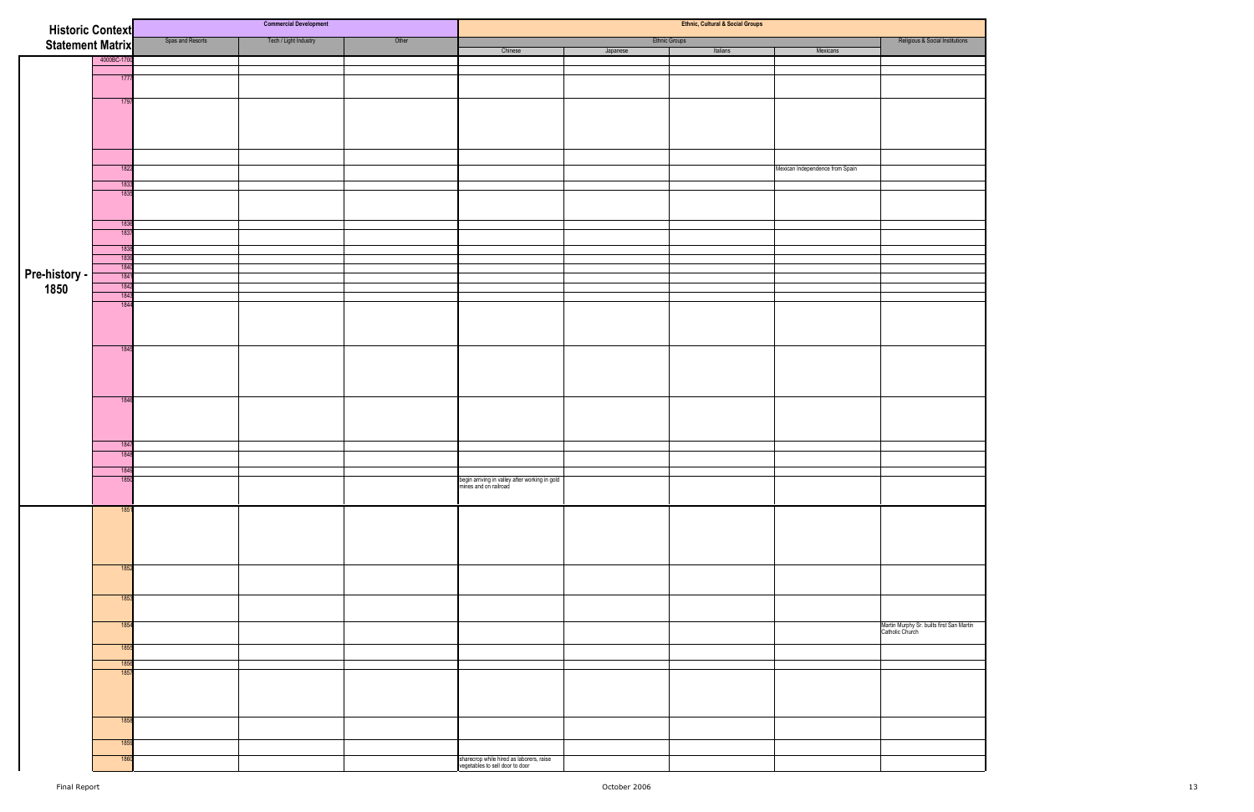| <b>Historic Context</b> |              |                  | <b>Commercial Development</b> |       | Ethnic, Cultural & Social Groups                                            |          |                      |                                 |                                                              |
|-------------------------|--------------|------------------|-------------------------------|-------|-----------------------------------------------------------------------------|----------|----------------------|---------------------------------|--------------------------------------------------------------|
| Statement Matrix        |              | Spas and Resorts | Tech / Light Industry         | Other |                                                                             |          | <b>Ethnic Groups</b> |                                 | Religious & Social Institutions                              |
|                         | 4000BC-1700  |                  |                               |       | Chinese                                                                     | Japanese | Italians             | Mexicans                        |                                                              |
|                         |              |                  |                               |       |                                                                             |          |                      |                                 |                                                              |
|                         | 1777         |                  |                               |       |                                                                             |          |                      |                                 |                                                              |
|                         | 1797         |                  |                               |       |                                                                             |          |                      |                                 |                                                              |
|                         |              |                  |                               |       |                                                                             |          |                      |                                 |                                                              |
|                         |              |                  |                               |       |                                                                             |          |                      |                                 |                                                              |
|                         |              |                  |                               |       |                                                                             |          |                      |                                 |                                                              |
|                         |              |                  |                               |       |                                                                             |          |                      |                                 |                                                              |
|                         | 1822         |                  |                               |       |                                                                             |          |                      | Mexican Independence from Spain |                                                              |
|                         | 1833         |                  |                               |       |                                                                             |          |                      |                                 |                                                              |
|                         | 183          |                  |                               |       |                                                                             |          |                      |                                 |                                                              |
|                         |              |                  |                               |       |                                                                             |          |                      |                                 |                                                              |
|                         | 1836         |                  |                               |       |                                                                             |          |                      |                                 |                                                              |
|                         | 1837         |                  |                               |       |                                                                             |          |                      |                                 |                                                              |
|                         | 183<br>1839  |                  |                               |       |                                                                             |          |                      |                                 |                                                              |
|                         | 1840         |                  |                               |       |                                                                             |          |                      |                                 |                                                              |
| Pre-history -<br>1850   | 1841<br>1842 |                  |                               |       |                                                                             |          |                      |                                 |                                                              |
|                         | 1843         |                  |                               |       |                                                                             |          |                      |                                 |                                                              |
|                         | 1844         |                  |                               |       |                                                                             |          |                      |                                 |                                                              |
|                         |              |                  |                               |       |                                                                             |          |                      |                                 |                                                              |
|                         |              |                  |                               |       |                                                                             |          |                      |                                 |                                                              |
|                         | 1845         |                  |                               |       |                                                                             |          |                      |                                 |                                                              |
|                         |              |                  |                               |       |                                                                             |          |                      |                                 |                                                              |
|                         |              |                  |                               |       |                                                                             |          |                      |                                 |                                                              |
|                         |              |                  |                               |       |                                                                             |          |                      |                                 |                                                              |
|                         | 1846         |                  |                               |       |                                                                             |          |                      |                                 |                                                              |
|                         |              |                  |                               |       |                                                                             |          |                      |                                 |                                                              |
|                         |              |                  |                               |       |                                                                             |          |                      |                                 |                                                              |
|                         | 1847         |                  |                               |       |                                                                             |          |                      |                                 |                                                              |
|                         | 1848         |                  |                               |       |                                                                             |          |                      |                                 |                                                              |
|                         | 1849<br>1850 |                  |                               |       |                                                                             |          |                      |                                 |                                                              |
|                         |              |                  |                               |       | begin arriving in valley after working in gold<br>mines and on railroad     |          |                      |                                 |                                                              |
|                         | 1851         |                  |                               |       |                                                                             |          |                      |                                 |                                                              |
|                         |              |                  |                               |       |                                                                             |          |                      |                                 |                                                              |
|                         |              |                  |                               |       |                                                                             |          |                      |                                 |                                                              |
|                         |              |                  |                               |       |                                                                             |          |                      |                                 |                                                              |
|                         |              |                  |                               |       |                                                                             |          |                      |                                 |                                                              |
|                         | 1852         |                  |                               |       |                                                                             |          |                      |                                 |                                                              |
|                         |              |                  |                               |       |                                                                             |          |                      |                                 |                                                              |
|                         | 1853         |                  |                               |       |                                                                             |          |                      |                                 |                                                              |
|                         |              |                  |                               |       |                                                                             |          |                      |                                 |                                                              |
|                         | 1854         |                  |                               |       |                                                                             |          |                      |                                 | Martin Murphy Sr. builts first San Martin<br>Catholic Church |
|                         | 1855         |                  |                               |       |                                                                             |          |                      |                                 |                                                              |
|                         |              |                  |                               |       |                                                                             |          |                      |                                 |                                                              |
|                         | 1856<br>1857 |                  |                               |       |                                                                             |          |                      |                                 |                                                              |
|                         |              |                  |                               |       |                                                                             |          |                      |                                 |                                                              |
|                         |              |                  |                               |       |                                                                             |          |                      |                                 |                                                              |
|                         |              |                  |                               |       |                                                                             |          |                      |                                 |                                                              |
|                         | 185          |                  |                               |       |                                                                             |          |                      |                                 |                                                              |
|                         | 1859         |                  |                               |       |                                                                             |          |                      |                                 |                                                              |
|                         | 1860         |                  |                               |       |                                                                             |          |                      |                                 |                                                              |
|                         |              |                  |                               |       | sharecrop while hired as laborers, raise<br>vegetables to sell door to door |          |                      |                                 |                                                              |
|                         |              |                  |                               |       |                                                                             |          |                      |                                 |                                                              |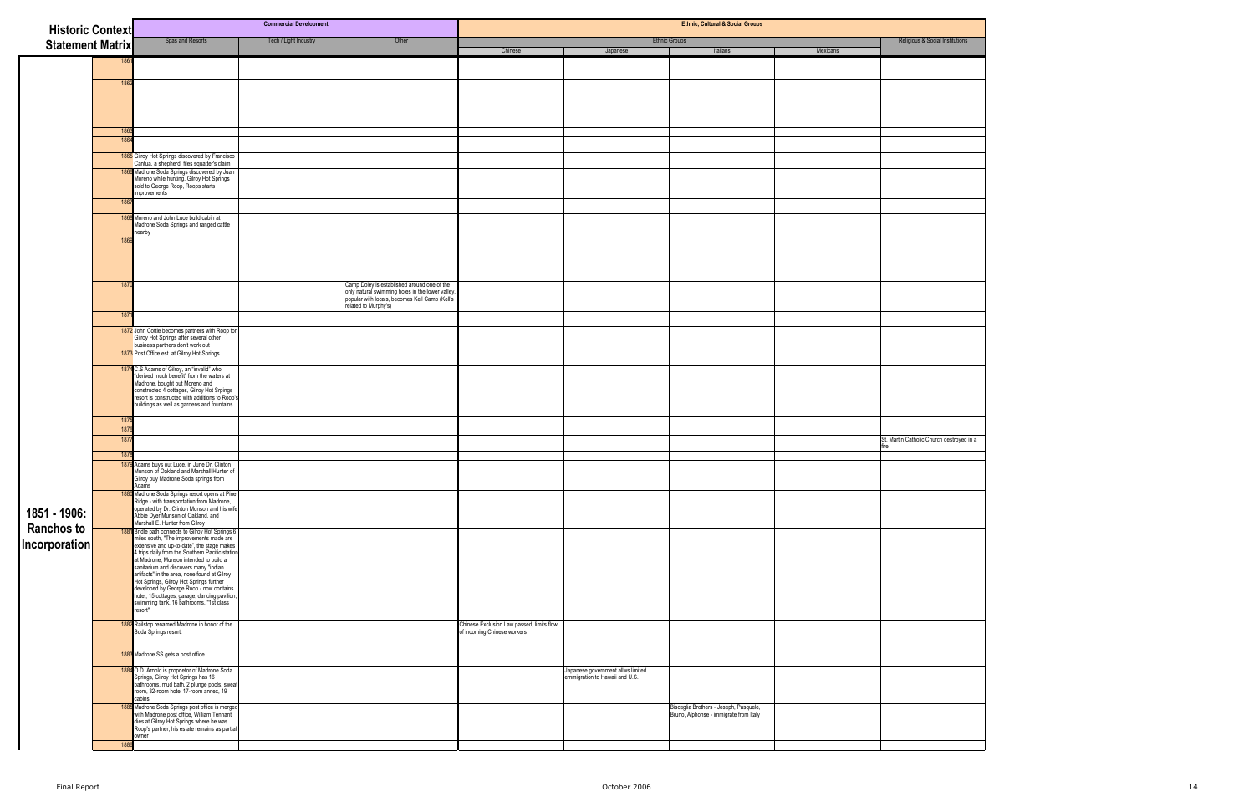| <b>Historic Context</b> |      |                                                                                                                                                                                                                                               | <b>Commercial Development</b> |                                                                                                                            | <b>Ethnic, Cultural &amp; Social Groups</b>                         |                                                                                  |          |                                           |  |  |
|-------------------------|------|-----------------------------------------------------------------------------------------------------------------------------------------------------------------------------------------------------------------------------------------------|-------------------------------|----------------------------------------------------------------------------------------------------------------------------|---------------------------------------------------------------------|----------------------------------------------------------------------------------|----------|-------------------------------------------|--|--|
| <b>Statement Matrix</b> |      | Spas and Resorts                                                                                                                                                                                                                              | Tech / Light Industry         | Other                                                                                                                      | Chinese<br>Japanese                                                 | <b>Ethnic Groups</b><br>Italians                                                 | Mexicans | Religious & Social Institutions           |  |  |
|                         | 1861 |                                                                                                                                                                                                                                               |                               |                                                                                                                            |                                                                     |                                                                                  |          |                                           |  |  |
|                         |      |                                                                                                                                                                                                                                               |                               |                                                                                                                            |                                                                     |                                                                                  |          |                                           |  |  |
|                         | 1862 |                                                                                                                                                                                                                                               |                               |                                                                                                                            |                                                                     |                                                                                  |          |                                           |  |  |
|                         |      |                                                                                                                                                                                                                                               |                               |                                                                                                                            |                                                                     |                                                                                  |          |                                           |  |  |
|                         |      |                                                                                                                                                                                                                                               |                               |                                                                                                                            |                                                                     |                                                                                  |          |                                           |  |  |
|                         | 1863 |                                                                                                                                                                                                                                               |                               |                                                                                                                            |                                                                     |                                                                                  |          |                                           |  |  |
|                         | 1864 |                                                                                                                                                                                                                                               |                               |                                                                                                                            |                                                                     |                                                                                  |          |                                           |  |  |
|                         |      | 1865 Gilroy Hot Springs discovered by Francisco<br>Cantua, a shepherd, files squatter's claim                                                                                                                                                 |                               |                                                                                                                            |                                                                     |                                                                                  |          |                                           |  |  |
|                         |      | 1866 Madrone Soda Springs discovered by Juan<br>Moreno while hunting, Gilroy Hot Springs<br>sold to George Roop, Roops starts<br>improvements                                                                                                 |                               |                                                                                                                            |                                                                     |                                                                                  |          |                                           |  |  |
|                         | 1867 |                                                                                                                                                                                                                                               |                               |                                                                                                                            |                                                                     |                                                                                  |          |                                           |  |  |
|                         |      | 1868 Moreno and John Luce build cabin at<br>Madrone Soda Springs and ranged cattle<br>hearby                                                                                                                                                  |                               |                                                                                                                            |                                                                     |                                                                                  |          |                                           |  |  |
|                         | 186  |                                                                                                                                                                                                                                               |                               |                                                                                                                            |                                                                     |                                                                                  |          |                                           |  |  |
|                         |      |                                                                                                                                                                                                                                               |                               |                                                                                                                            |                                                                     |                                                                                  |          |                                           |  |  |
|                         | 1870 |                                                                                                                                                                                                                                               |                               | Camp Doley is established around one of the                                                                                |                                                                     |                                                                                  |          |                                           |  |  |
|                         |      |                                                                                                                                                                                                                                               |                               | only natural swimming holes in the lower valley,<br>popular with locals, becomes Kell Camp (Kell's<br>related to Murphy's) |                                                                     |                                                                                  |          |                                           |  |  |
|                         | 1871 |                                                                                                                                                                                                                                               |                               |                                                                                                                            |                                                                     |                                                                                  |          |                                           |  |  |
|                         |      | 1872 John Cottle becomes partners with Roop for<br>Gilroy Hot Springs after several other<br>business partners don't work out                                                                                                                 |                               |                                                                                                                            |                                                                     |                                                                                  |          |                                           |  |  |
|                         |      | 1873 Post Office est. at Gilroy Hot Springs                                                                                                                                                                                                   |                               |                                                                                                                            |                                                                     |                                                                                  |          |                                           |  |  |
|                         |      | 1874 C.S Adams of Gilroy, an "invalid" who<br>"derived much benefit" from the waters at                                                                                                                                                       |                               |                                                                                                                            |                                                                     |                                                                                  |          |                                           |  |  |
|                         |      | Madrone, bought out Moreno and<br>constructed 4 cottages, Gilroy Hot Srpings                                                                                                                                                                  |                               |                                                                                                                            |                                                                     |                                                                                  |          |                                           |  |  |
|                         |      | resort is constructed with additions to Roop's<br>buildings as well as gardens and fountains                                                                                                                                                  |                               |                                                                                                                            |                                                                     |                                                                                  |          |                                           |  |  |
|                         | 1875 |                                                                                                                                                                                                                                               |                               |                                                                                                                            |                                                                     |                                                                                  |          |                                           |  |  |
|                         | 1876 |                                                                                                                                                                                                                                               |                               |                                                                                                                            |                                                                     |                                                                                  |          |                                           |  |  |
|                         | 187  |                                                                                                                                                                                                                                               |                               |                                                                                                                            |                                                                     |                                                                                  |          | St. Martin Catholic Church destroyed in a |  |  |
|                         | 1878 |                                                                                                                                                                                                                                               |                               |                                                                                                                            |                                                                     |                                                                                  |          |                                           |  |  |
|                         |      | 1879 Adams buys out Luce, in June Dr. Clinton<br>Munson of Oakland and Marshall Hunter of<br>Gilroy buy Madrone Soda springs from<br>Adams                                                                                                    |                               |                                                                                                                            |                                                                     |                                                                                  |          |                                           |  |  |
|                         |      |                                                                                                                                                                                                                                               |                               |                                                                                                                            |                                                                     |                                                                                  |          |                                           |  |  |
| 1851 - 1906:            |      | <b>1880</b> Madrone Soda Springs resort opens at Pine<br>Ridge - with transportation from Madrone,<br>operated by Dr. Clinton Munson and his wife<br>Abbie Dyer Munson of Oakland, and<br>Marshall E. Hunter from Gilroy                      |                               |                                                                                                                            |                                                                     |                                                                                  |          |                                           |  |  |
| <b>Ranchos to</b>       |      | <b>1881</b> Bridle path connects to Gilroy Hot Springs 6<br>miles south, "The improvements made are<br>extensive and up-to-date", the stage makes                                                                                             |                               |                                                                                                                            |                                                                     |                                                                                  |          |                                           |  |  |
| Incorporation           |      |                                                                                                                                                                                                                                               |                               |                                                                                                                            |                                                                     |                                                                                  |          |                                           |  |  |
|                         |      | extensive and up-to-date , the stage makes<br>they although the Southern Pacific station<br>at Madrone, Munson intended to build a<br>sanitarium and discovers many "indian<br>artifacts" in the area, none found at Gilroy<br>Hot Springs, G |                               |                                                                                                                            |                                                                     |                                                                                  |          |                                           |  |  |
|                         |      |                                                                                                                                                                                                                                               |                               |                                                                                                                            |                                                                     |                                                                                  |          |                                           |  |  |
|                         |      |                                                                                                                                                                                                                                               |                               |                                                                                                                            |                                                                     |                                                                                  |          |                                           |  |  |
|                         |      | swimming tank, 16 bathrooms, "1st class<br>resort"                                                                                                                                                                                            |                               |                                                                                                                            |                                                                     |                                                                                  |          |                                           |  |  |
|                         |      | 1882 Railstop renamed Madrone in honor of the                                                                                                                                                                                                 |                               |                                                                                                                            | Chinese Exclusion Law passed, limits flow                           |                                                                                  |          |                                           |  |  |
|                         |      | Soda Springs resort.                                                                                                                                                                                                                          |                               |                                                                                                                            | of incoming Chinese workers                                         |                                                                                  |          |                                           |  |  |
|                         |      | 1883 Madrone SS gets a post office                                                                                                                                                                                                            |                               |                                                                                                                            |                                                                     |                                                                                  |          |                                           |  |  |
|                         |      | 1884 O.D. Arnold is proprietor of Madrone Soda                                                                                                                                                                                                |                               |                                                                                                                            | Japanese government allws limited<br>emmigration to Hawaii and U.S. |                                                                                  |          |                                           |  |  |
|                         |      | Springs, Gilroy Hot Springs has 16<br>bathrooms, mud bath, 2 plunge pools, sweat<br>room, 32-room hotel 17-room annex, 19<br>cabins                                                                                                           |                               |                                                                                                                            |                                                                     |                                                                                  |          |                                           |  |  |
|                         |      | 1885 Madrone Soda Springs post office is merged<br>with Madrone post office, William Tennant                                                                                                                                                  |                               |                                                                                                                            |                                                                     | Bisceglia Brothers - Joseph, Pasquele,<br>Bruno, Alphonse - immigrate from Italy |          |                                           |  |  |
|                         |      | dies at Gilroy Hot Springs where he was<br>Roop's partner, his estate remains as partial<br>wner                                                                                                                                              |                               |                                                                                                                            |                                                                     |                                                                                  |          |                                           |  |  |
|                         | 1886 |                                                                                                                                                                                                                                               |                               |                                                                                                                            |                                                                     |                                                                                  |          |                                           |  |  |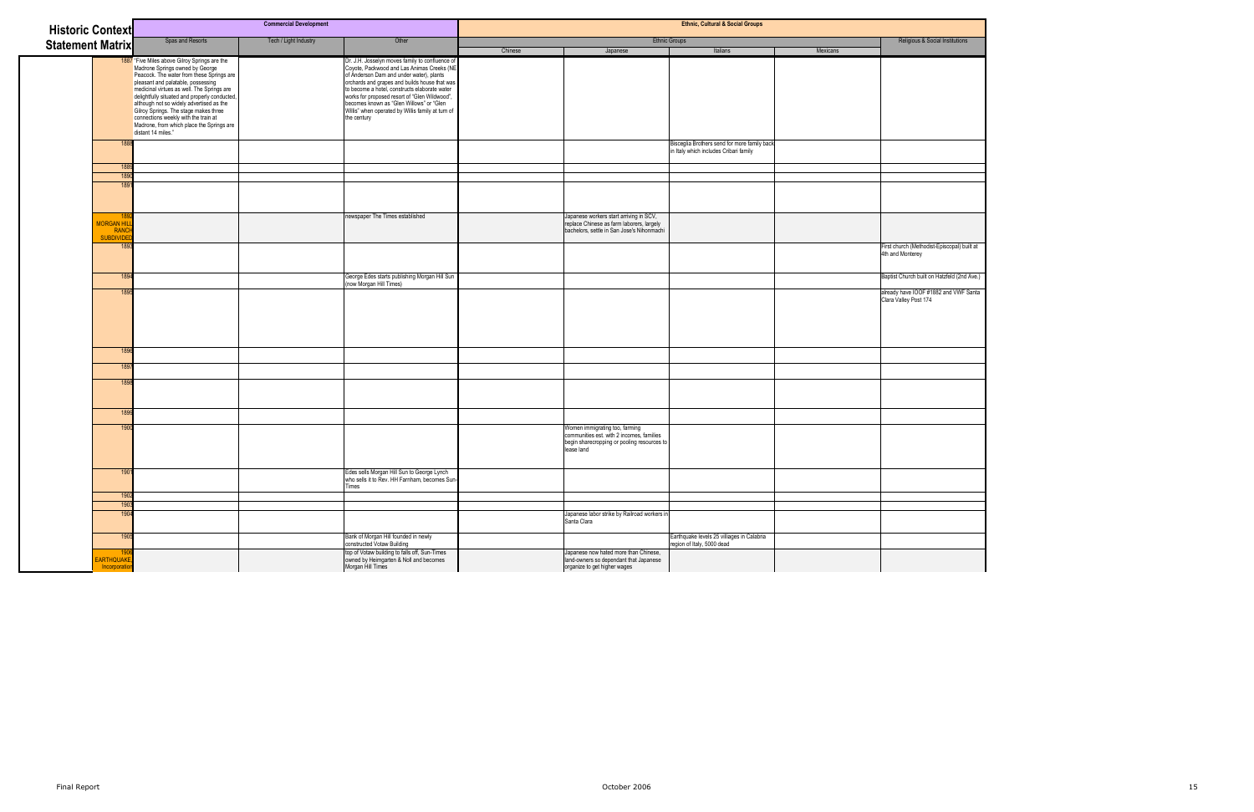| <b>Commercial Development</b><br><b>Historic Context</b> |                                                                                                                                                                                                                                                                                                                                                                                                                                                                                                               |                       | <b>Ethnic, Cultural &amp; Social Groups</b>                                                                                                                                                                                                                                                                                                                                                                  |         |                                                                                                                                          |                                                                                        |          |                                                                 |
|----------------------------------------------------------|---------------------------------------------------------------------------------------------------------------------------------------------------------------------------------------------------------------------------------------------------------------------------------------------------------------------------------------------------------------------------------------------------------------------------------------------------------------------------------------------------------------|-----------------------|--------------------------------------------------------------------------------------------------------------------------------------------------------------------------------------------------------------------------------------------------------------------------------------------------------------------------------------------------------------------------------------------------------------|---------|------------------------------------------------------------------------------------------------------------------------------------------|----------------------------------------------------------------------------------------|----------|-----------------------------------------------------------------|
|                                                          | Spas and Resorts                                                                                                                                                                                                                                                                                                                                                                                                                                                                                              | Tech / Light Industry | Other                                                                                                                                                                                                                                                                                                                                                                                                        |         |                                                                                                                                          | <b>Ethnic Groups</b>                                                                   |          | Religious & Social Institutions                                 |
| <b>Statement Matrix</b>                                  |                                                                                                                                                                                                                                                                                                                                                                                                                                                                                                               |                       |                                                                                                                                                                                                                                                                                                                                                                                                              | Chinese | Japanese                                                                                                                                 | Italians                                                                               | Mexicans |                                                                 |
|                                                          | 1887 "Five Miles above Gilroy Springs are the<br>Madrone Springs owned by George<br>Peacock. The water from these Springs are<br>pleasant and palatable, possessing<br>medicinal virtues as well. The Springs are<br>delightfully situated and properly conducted,<br>elthough not so widely advertised as the<br>although not so widely advertised as the<br>Giroy Springs. The stage makes three<br>connections weekly with the train at<br>Madrone, from which place the Springs are<br>distant 14 miles." |                       | Dr. J.H. Josselyn moves family to confluence of<br>Coyote, Packwood and Las Animas Creeks (NE<br>of Anderson Dam and under water), plants<br>orchards and grapes and builds house that was<br>to become a hotel, constructs elaborate water<br>works for proposed resort of "Glen Wildwood",<br>becomes known as "Glen Willows" or "Glen<br>Willis" when operated by Willis family at turn of<br>the century |         |                                                                                                                                          |                                                                                        |          |                                                                 |
|                                                          | 188                                                                                                                                                                                                                                                                                                                                                                                                                                                                                                           |                       |                                                                                                                                                                                                                                                                                                                                                                                                              |         |                                                                                                                                          | Bisceglia Brothers send for more family back<br>in Italy which includes Cribari family |          |                                                                 |
|                                                          | 1889                                                                                                                                                                                                                                                                                                                                                                                                                                                                                                          |                       |                                                                                                                                                                                                                                                                                                                                                                                                              |         |                                                                                                                                          |                                                                                        |          |                                                                 |
|                                                          | 1890                                                                                                                                                                                                                                                                                                                                                                                                                                                                                                          |                       |                                                                                                                                                                                                                                                                                                                                                                                                              |         |                                                                                                                                          |                                                                                        |          |                                                                 |
|                                                          | 189                                                                                                                                                                                                                                                                                                                                                                                                                                                                                                           |                       |                                                                                                                                                                                                                                                                                                                                                                                                              |         |                                                                                                                                          |                                                                                        |          |                                                                 |
|                                                          | 18!                                                                                                                                                                                                                                                                                                                                                                                                                                                                                                           |                       | newspaper The Times established                                                                                                                                                                                                                                                                                                                                                                              |         | Japanese workers start arriving in SCV,                                                                                                  |                                                                                        |          |                                                                 |
| <b>MORGAN HIL</b><br>RANCI                               |                                                                                                                                                                                                                                                                                                                                                                                                                                                                                                               |                       |                                                                                                                                                                                                                                                                                                                                                                                                              |         | replace Chinese as farm laborers, largely<br>bachelors, settle in San Jose's Nihonmachi                                                  |                                                                                        |          |                                                                 |
| <b>SUBDIVIDEI</b>                                        |                                                                                                                                                                                                                                                                                                                                                                                                                                                                                                               |                       |                                                                                                                                                                                                                                                                                                                                                                                                              |         |                                                                                                                                          |                                                                                        |          |                                                                 |
|                                                          | 189                                                                                                                                                                                                                                                                                                                                                                                                                                                                                                           |                       |                                                                                                                                                                                                                                                                                                                                                                                                              |         |                                                                                                                                          |                                                                                        |          | First church (Methodist-Episcopal) built at<br>4th and Monterey |
|                                                          | 1894                                                                                                                                                                                                                                                                                                                                                                                                                                                                                                          |                       | George Edes starts publishing Morgan Hill Sun                                                                                                                                                                                                                                                                                                                                                                |         |                                                                                                                                          |                                                                                        |          | Baptist Church built on Hatzfeld (2nd Ave.)                     |
|                                                          | 189                                                                                                                                                                                                                                                                                                                                                                                                                                                                                                           |                       | (now Morgan Hill Times)                                                                                                                                                                                                                                                                                                                                                                                      |         |                                                                                                                                          |                                                                                        |          | already have IOOF #1882 and VWF Santa                           |
|                                                          | 1896                                                                                                                                                                                                                                                                                                                                                                                                                                                                                                          |                       |                                                                                                                                                                                                                                                                                                                                                                                                              |         |                                                                                                                                          |                                                                                        |          | Clara Valley Post 174                                           |
|                                                          | 1897                                                                                                                                                                                                                                                                                                                                                                                                                                                                                                          |                       |                                                                                                                                                                                                                                                                                                                                                                                                              |         |                                                                                                                                          |                                                                                        |          |                                                                 |
|                                                          |                                                                                                                                                                                                                                                                                                                                                                                                                                                                                                               |                       |                                                                                                                                                                                                                                                                                                                                                                                                              |         |                                                                                                                                          |                                                                                        |          |                                                                 |
|                                                          | 189                                                                                                                                                                                                                                                                                                                                                                                                                                                                                                           |                       |                                                                                                                                                                                                                                                                                                                                                                                                              |         |                                                                                                                                          |                                                                                        |          |                                                                 |
|                                                          | 1899                                                                                                                                                                                                                                                                                                                                                                                                                                                                                                          |                       |                                                                                                                                                                                                                                                                                                                                                                                                              |         |                                                                                                                                          |                                                                                        |          |                                                                 |
|                                                          | 1900                                                                                                                                                                                                                                                                                                                                                                                                                                                                                                          |                       |                                                                                                                                                                                                                                                                                                                                                                                                              |         | Women immigrating too, farming<br>communities est. with 2 incomes, families<br>begin sharecropping or pooling resources to<br>lease land |                                                                                        |          |                                                                 |
|                                                          | 1901                                                                                                                                                                                                                                                                                                                                                                                                                                                                                                          |                       | Edes sells Morgan Hill Sun to George Lynch<br>who sells it to Rev. HH Farnham, becomes Sun-<br>Times                                                                                                                                                                                                                                                                                                         |         |                                                                                                                                          |                                                                                        |          |                                                                 |
|                                                          | 1902                                                                                                                                                                                                                                                                                                                                                                                                                                                                                                          |                       |                                                                                                                                                                                                                                                                                                                                                                                                              |         |                                                                                                                                          |                                                                                        |          |                                                                 |
|                                                          | 1903                                                                                                                                                                                                                                                                                                                                                                                                                                                                                                          |                       |                                                                                                                                                                                                                                                                                                                                                                                                              |         |                                                                                                                                          |                                                                                        |          |                                                                 |
|                                                          | 1904                                                                                                                                                                                                                                                                                                                                                                                                                                                                                                          |                       |                                                                                                                                                                                                                                                                                                                                                                                                              |         | Japanese labor strike by Railroad workers in<br>Santa Clara                                                                              |                                                                                        |          |                                                                 |
|                                                          | 1905                                                                                                                                                                                                                                                                                                                                                                                                                                                                                                          |                       | Bank of Morgan Hill founded in newly<br>constructed Votaw Building                                                                                                                                                                                                                                                                                                                                           |         |                                                                                                                                          | Earthquake levels 25 villiages in Calabria<br>region of Italy, 5000 dead               |          |                                                                 |
| EARTHQUAKE,<br>Incorporation                             | 1906                                                                                                                                                                                                                                                                                                                                                                                                                                                                                                          |                       | top of Votaw building to falls off, Sun-Times<br>owned by Heimgarten & Noll and becomes<br>Morgan Hill Times                                                                                                                                                                                                                                                                                                 |         | Japanese now hated more than Chinese,<br>land-owners so dependant that Japanese<br>organize to get higher wages                          |                                                                                        |          |                                                                 |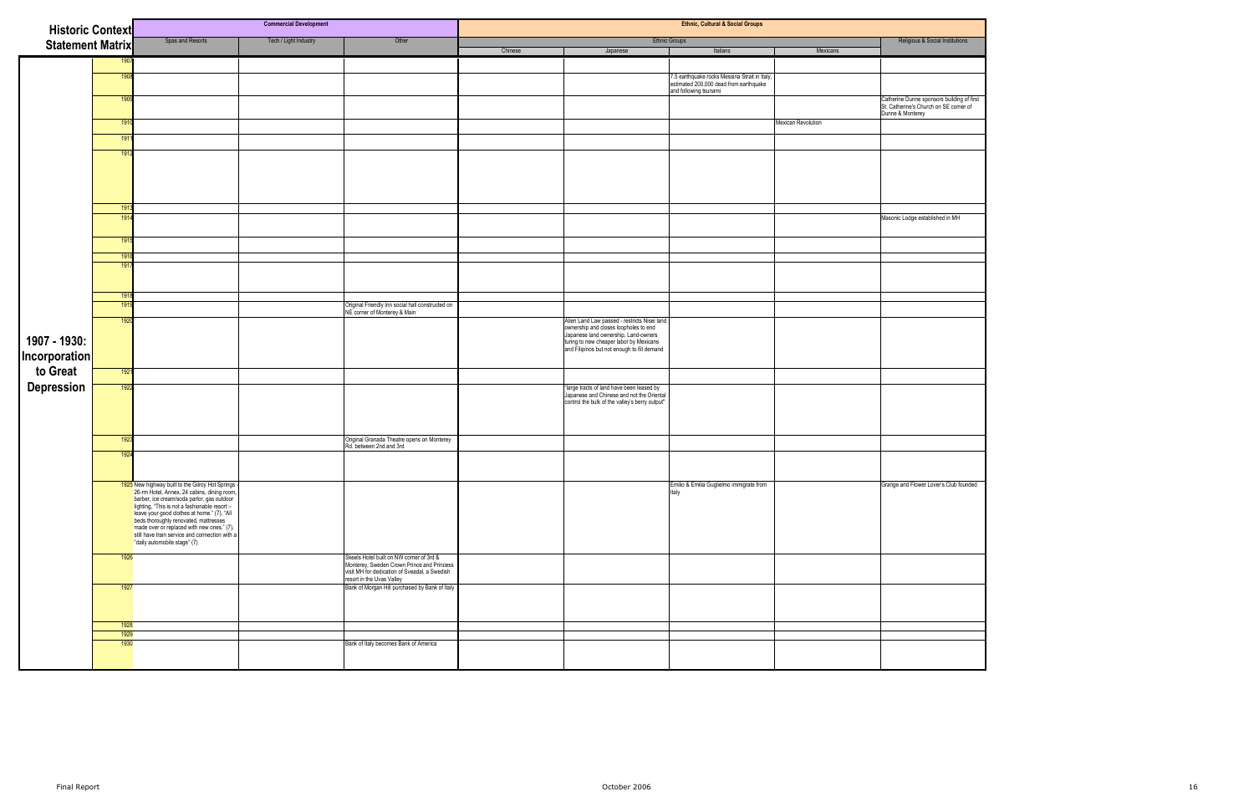| <b>Historic Context</b>              |             | <b>Commercial Development</b>                                                                                                                                                                                                                                              |                       |                                                                                                                                                                      | <b>Ethnic, Cultural &amp; Social Groups</b> |                                                                                                                                                                                                                         |                                                                                                                  |                    |                                                                                                          |  |
|--------------------------------------|-------------|----------------------------------------------------------------------------------------------------------------------------------------------------------------------------------------------------------------------------------------------------------------------------|-----------------------|----------------------------------------------------------------------------------------------------------------------------------------------------------------------|---------------------------------------------|-------------------------------------------------------------------------------------------------------------------------------------------------------------------------------------------------------------------------|------------------------------------------------------------------------------------------------------------------|--------------------|----------------------------------------------------------------------------------------------------------|--|
| <b>Statement Matrix</b>              |             | Spas and Resorts                                                                                                                                                                                                                                                           | Tech / Light Industry | Other                                                                                                                                                                |                                             |                                                                                                                                                                                                                         | Religious & Social Institutions                                                                                  |                    |                                                                                                          |  |
|                                      |             |                                                                                                                                                                                                                                                                            |                       |                                                                                                                                                                      | Chinese                                     | Japanese                                                                                                                                                                                                                | Italians                                                                                                         | Mexicans           |                                                                                                          |  |
|                                      | 1908        |                                                                                                                                                                                                                                                                            |                       |                                                                                                                                                                      |                                             |                                                                                                                                                                                                                         |                                                                                                                  |                    |                                                                                                          |  |
|                                      |             |                                                                                                                                                                                                                                                                            |                       |                                                                                                                                                                      |                                             |                                                                                                                                                                                                                         | 7.5 earthquake rocks Messina Strait in Italy,<br>estimated 200,000 dead from earthquake<br>and following tsunami |                    |                                                                                                          |  |
|                                      | 1909        |                                                                                                                                                                                                                                                                            |                       |                                                                                                                                                                      |                                             |                                                                                                                                                                                                                         |                                                                                                                  |                    | Catherine Dunne sponsors building of first<br>St. Catherine's Church on SE corner of<br>Dunne & Monterey |  |
|                                      | 1910        |                                                                                                                                                                                                                                                                            |                       |                                                                                                                                                                      |                                             |                                                                                                                                                                                                                         |                                                                                                                  | Mexican Revolution |                                                                                                          |  |
|                                      | 191         |                                                                                                                                                                                                                                                                            |                       |                                                                                                                                                                      |                                             |                                                                                                                                                                                                                         |                                                                                                                  |                    |                                                                                                          |  |
|                                      | 191         |                                                                                                                                                                                                                                                                            |                       |                                                                                                                                                                      |                                             |                                                                                                                                                                                                                         |                                                                                                                  |                    |                                                                                                          |  |
|                                      | 1913<br>191 |                                                                                                                                                                                                                                                                            |                       |                                                                                                                                                                      |                                             |                                                                                                                                                                                                                         |                                                                                                                  |                    | Masonic Lodge established in MH                                                                          |  |
|                                      |             |                                                                                                                                                                                                                                                                            |                       |                                                                                                                                                                      |                                             |                                                                                                                                                                                                                         |                                                                                                                  |                    |                                                                                                          |  |
|                                      | 1915        |                                                                                                                                                                                                                                                                            |                       |                                                                                                                                                                      |                                             |                                                                                                                                                                                                                         |                                                                                                                  |                    |                                                                                                          |  |
|                                      | 1916<br>191 |                                                                                                                                                                                                                                                                            |                       |                                                                                                                                                                      |                                             |                                                                                                                                                                                                                         |                                                                                                                  |                    |                                                                                                          |  |
|                                      |             |                                                                                                                                                                                                                                                                            |                       |                                                                                                                                                                      |                                             |                                                                                                                                                                                                                         |                                                                                                                  |                    |                                                                                                          |  |
|                                      | 191<br>1919 |                                                                                                                                                                                                                                                                            |                       |                                                                                                                                                                      |                                             |                                                                                                                                                                                                                         |                                                                                                                  |                    |                                                                                                          |  |
|                                      | 1920        |                                                                                                                                                                                                                                                                            |                       | Original Friendly Inn social hall constructed on<br>NE corner of Monterey & Main                                                                                     |                                             |                                                                                                                                                                                                                         |                                                                                                                  |                    |                                                                                                          |  |
| 1907 - 1930:<br><b>Incorporation</b> |             |                                                                                                                                                                                                                                                                            |                       |                                                                                                                                                                      |                                             | Alien Land Law passed - restricts Nisei land<br>ownership and closes loopholes to end<br>Japanese land ownership, Land-owners<br>turing to new cheaper labor by Mexicans<br>and Filipinos but not enough to fill demand |                                                                                                                  |                    |                                                                                                          |  |
|                                      | 1921        |                                                                                                                                                                                                                                                                            |                       |                                                                                                                                                                      |                                             |                                                                                                                                                                                                                         |                                                                                                                  |                    |                                                                                                          |  |
| Depression                           | 1922        |                                                                                                                                                                                                                                                                            |                       |                                                                                                                                                                      |                                             | "large tracts of land have been leased by<br>Japanese and Chinese and not the Oriental<br>control the bulk of the valley's berry output"                                                                                |                                                                                                                  |                    |                                                                                                          |  |
|                                      | 1923        |                                                                                                                                                                                                                                                                            |                       | Original Granada Theatre opens on Monterey<br>Rd. between 2nd and 3rd                                                                                                |                                             |                                                                                                                                                                                                                         |                                                                                                                  |                    |                                                                                                          |  |
|                                      | 192         |                                                                                                                                                                                                                                                                            |                       |                                                                                                                                                                      |                                             |                                                                                                                                                                                                                         |                                                                                                                  |                    |                                                                                                          |  |
|                                      |             | <b>1925</b> New highway built to the Gilroy Hot Springs-<br>26-rm Hotel, Annex, 24 cabins, dining room,<br>barber, ice cream/soda parlor, gas outdoor<br>lighting, "This is not a fashionable resort-<br>leave your good clothes at home."<br>"daily automobile stage" (7) |                       |                                                                                                                                                                      |                                             |                                                                                                                                                                                                                         | Emilio & Emilia Guglielmo immigrate from<br>Italy                                                                |                    | Grange and Flower Lover's Club founded                                                                   |  |
|                                      | 1926        |                                                                                                                                                                                                                                                                            |                       | Skeels Hotel built on NW corner of 3rd &<br>Monterey, Sweden Crown Prince and Princess<br>visit MH for dedication of Sveadal, a Swedish<br>resort in the Uvas Valley |                                             |                                                                                                                                                                                                                         |                                                                                                                  |                    |                                                                                                          |  |
|                                      | 1927        |                                                                                                                                                                                                                                                                            |                       | Bank of Morgan Hill purchased by Bank of Italy                                                                                                                       |                                             |                                                                                                                                                                                                                         |                                                                                                                  |                    |                                                                                                          |  |
|                                      | 1928        |                                                                                                                                                                                                                                                                            |                       |                                                                                                                                                                      |                                             |                                                                                                                                                                                                                         |                                                                                                                  |                    |                                                                                                          |  |
|                                      | 1929        |                                                                                                                                                                                                                                                                            |                       |                                                                                                                                                                      |                                             |                                                                                                                                                                                                                         |                                                                                                                  |                    |                                                                                                          |  |
|                                      | 1930        |                                                                                                                                                                                                                                                                            |                       | Bank of Italy becomes Bank of America                                                                                                                                |                                             |                                                                                                                                                                                                                         |                                                                                                                  |                    |                                                                                                          |  |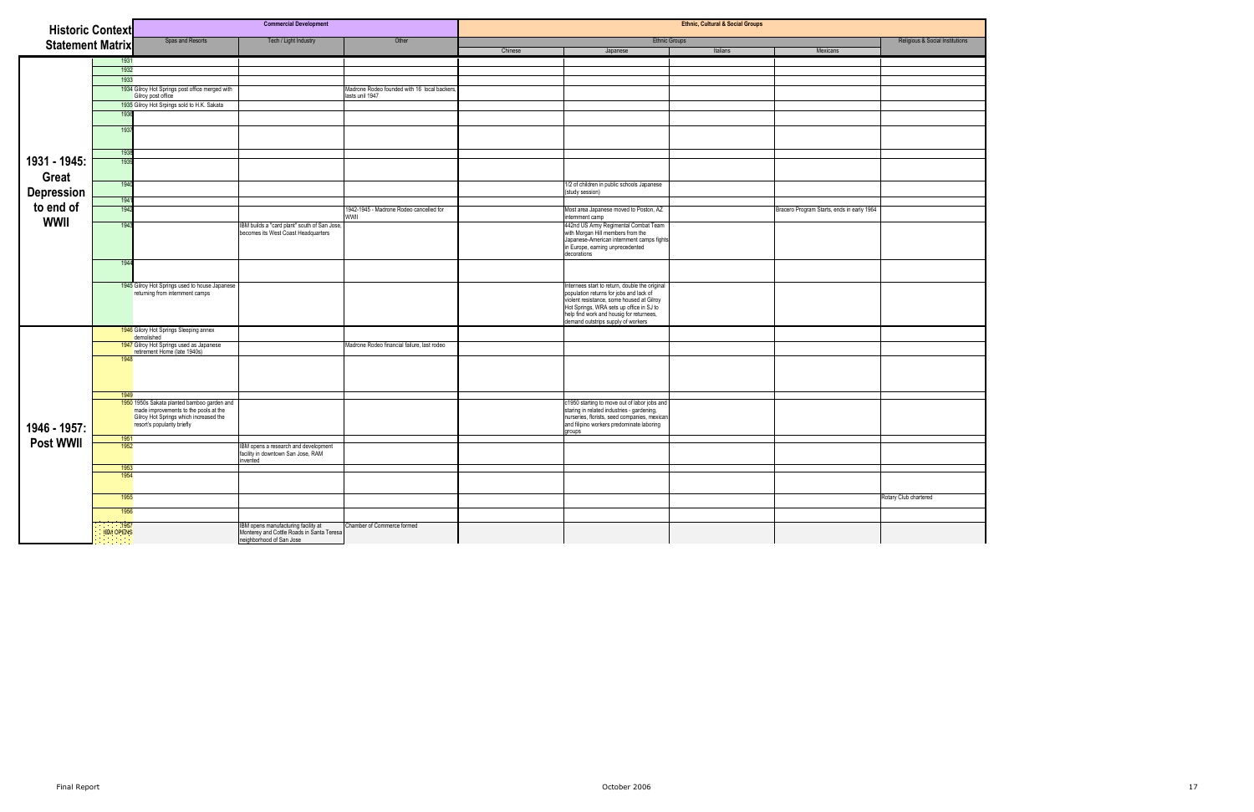| <b>Historic Context</b> |                                 |                                                      | <b>Commercial Development</b>                                                    |                                              | <b>Ethnic, Cultural &amp; Social Groups</b> |                                                                                       |          |                                            |                                 |  |
|-------------------------|---------------------------------|------------------------------------------------------|----------------------------------------------------------------------------------|----------------------------------------------|---------------------------------------------|---------------------------------------------------------------------------------------|----------|--------------------------------------------|---------------------------------|--|
| <b>Statement Matrix</b> |                                 | Spas and Resorts                                     | Tech / Light Industry                                                            | Other                                        |                                             | <b>Ethnic Groups</b>                                                                  |          |                                            | Religious & Social Institutions |  |
|                         |                                 |                                                      |                                                                                  |                                              | Chinese                                     | Japanese                                                                              | Italians | Mexicans                                   |                                 |  |
|                         | 1931                            |                                                      |                                                                                  |                                              |                                             |                                                                                       |          |                                            |                                 |  |
|                         | 1932                            |                                                      |                                                                                  |                                              |                                             |                                                                                       |          |                                            |                                 |  |
|                         | 1933                            |                                                      |                                                                                  |                                              |                                             |                                                                                       |          |                                            |                                 |  |
|                         |                                 | 1934 Gilroy Hot Springs post office merged with      |                                                                                  | Madrone Rodeo founded with 16 local backers. |                                             |                                                                                       |          |                                            |                                 |  |
|                         |                                 | Gilroy post office                                   |                                                                                  | lasts unil 1947                              |                                             |                                                                                       |          |                                            |                                 |  |
|                         |                                 | 1935 Gilroy Hot Srpings sold to H.K. Sakata          |                                                                                  |                                              |                                             |                                                                                       |          |                                            |                                 |  |
|                         | 1936                            |                                                      |                                                                                  |                                              |                                             |                                                                                       |          |                                            |                                 |  |
|                         | 1937                            |                                                      |                                                                                  |                                              |                                             |                                                                                       |          |                                            |                                 |  |
|                         |                                 |                                                      |                                                                                  |                                              |                                             |                                                                                       |          |                                            |                                 |  |
|                         |                                 |                                                      |                                                                                  |                                              |                                             |                                                                                       |          |                                            |                                 |  |
| 1931 - 1945:            | 1938<br>1939                    |                                                      |                                                                                  |                                              |                                             |                                                                                       |          |                                            |                                 |  |
|                         |                                 |                                                      |                                                                                  |                                              |                                             |                                                                                       |          |                                            |                                 |  |
| <b>Great</b>            |                                 |                                                      |                                                                                  |                                              |                                             |                                                                                       |          |                                            |                                 |  |
|                         | 1940                            |                                                      |                                                                                  |                                              |                                             | 1/2 of children in public schools Japanese                                            |          |                                            |                                 |  |
| <b>Depression</b>       | 1941                            |                                                      |                                                                                  |                                              |                                             | (study session)                                                                       |          |                                            |                                 |  |
| to end of               | 1942                            |                                                      |                                                                                  | 1942-1945 - Madrone Rodeo cancelled for      |                                             |                                                                                       |          |                                            |                                 |  |
|                         |                                 |                                                      |                                                                                  | WWII                                         |                                             | Most area Japanese moved to Poston, AZ<br>internment camp                             |          | Bracero Program Starts, ends in early 1964 |                                 |  |
| <b>WWII</b>             | 1943                            |                                                      | IBM builds a "card plant" south of San Jose,                                     |                                              |                                             | 442nd US Army Regimental Combat Team<br>with Morgan Hill members from the             |          |                                            |                                 |  |
|                         |                                 |                                                      | becomes its West Coast Headquarters                                              |                                              |                                             |                                                                                       |          |                                            |                                 |  |
|                         |                                 |                                                      |                                                                                  |                                              |                                             | Japanese-American internment camps fights<br>in Europe, earning unprecedented         |          |                                            |                                 |  |
|                         |                                 |                                                      |                                                                                  |                                              |                                             | decorations                                                                           |          |                                            |                                 |  |
|                         | 1944                            |                                                      |                                                                                  |                                              |                                             |                                                                                       |          |                                            |                                 |  |
|                         |                                 |                                                      |                                                                                  |                                              |                                             |                                                                                       |          |                                            |                                 |  |
|                         |                                 | 1945 Gilroy Hot Springs used to house Japanese       |                                                                                  |                                              |                                             | Internees start to return, double the original                                        |          |                                            |                                 |  |
|                         |                                 | returning from internment camps                      |                                                                                  |                                              |                                             | population returns for jobs and lack of                                               |          |                                            |                                 |  |
|                         |                                 |                                                      |                                                                                  |                                              |                                             | violent resistance, some housed at Gilroy<br>Hot Springs, WRA sets up office in SJ to |          |                                            |                                 |  |
|                         |                                 |                                                      |                                                                                  |                                              |                                             | help find work and housig for returnees,                                              |          |                                            |                                 |  |
|                         |                                 |                                                      |                                                                                  |                                              |                                             | demand outstrips supply of workers                                                    |          |                                            |                                 |  |
|                         |                                 | 1946 Gilory Hot Springs Sleeping annex<br>demolished |                                                                                  |                                              |                                             |                                                                                       |          |                                            |                                 |  |
|                         |                                 | 1947 Gilroy Hot Springs used as Japanese             |                                                                                  | Madrone Rodeo financial failure, last rodeo  |                                             |                                                                                       |          |                                            |                                 |  |
|                         |                                 | retirement Home (late 1940s)                         |                                                                                  |                                              |                                             |                                                                                       |          |                                            |                                 |  |
|                         | 1948                            |                                                      |                                                                                  |                                              |                                             |                                                                                       |          |                                            |                                 |  |
|                         |                                 |                                                      |                                                                                  |                                              |                                             |                                                                                       |          |                                            |                                 |  |
|                         |                                 |                                                      |                                                                                  |                                              |                                             |                                                                                       |          |                                            |                                 |  |
|                         |                                 |                                                      |                                                                                  |                                              |                                             |                                                                                       |          |                                            |                                 |  |
|                         | 1949                            | 1950 1950s Sakata planted bamboo garden and          |                                                                                  |                                              |                                             | c1950 starting to move out of labor jobs and                                          |          |                                            |                                 |  |
|                         |                                 | made improvements to the pools at the                |                                                                                  |                                              |                                             | staring in related industries - gardening,                                            |          |                                            |                                 |  |
|                         |                                 | Gilroy Hot Springs which increased the               |                                                                                  |                                              |                                             | nurseries, florists, seed companies, mexican                                          |          |                                            |                                 |  |
| 1946 - 1957:            |                                 | resort's popularity briefly                          |                                                                                  |                                              |                                             | and filipino workers predominate laboring<br>groups                                   |          |                                            |                                 |  |
| <b>Post WWII</b>        | 1951                            |                                                      |                                                                                  |                                              |                                             |                                                                                       |          |                                            |                                 |  |
|                         | 1952                            |                                                      | IBM opens a research and development<br>facility in downtown San Jose, RAM       |                                              |                                             |                                                                                       |          |                                            |                                 |  |
|                         |                                 |                                                      | nvented                                                                          |                                              |                                             |                                                                                       |          |                                            |                                 |  |
|                         | 1953                            |                                                      |                                                                                  |                                              |                                             |                                                                                       |          |                                            |                                 |  |
|                         | 1954                            |                                                      |                                                                                  |                                              |                                             |                                                                                       |          |                                            |                                 |  |
|                         |                                 |                                                      |                                                                                  |                                              |                                             |                                                                                       |          |                                            |                                 |  |
|                         | 1955                            |                                                      |                                                                                  |                                              |                                             |                                                                                       |          |                                            | Rotary Club chartered           |  |
|                         | 1956                            |                                                      |                                                                                  |                                              |                                             |                                                                                       |          |                                            |                                 |  |
|                         |                                 |                                                      |                                                                                  |                                              |                                             |                                                                                       |          |                                            |                                 |  |
|                         | $\sim$ 1957<br><b>IBM OPENS</b> |                                                      | IBM opens manufacturing facility at<br>Monterey and Cottle Roads in Santa Teresa | Chamber of Commerce formed                   |                                             |                                                                                       |          |                                            |                                 |  |
|                         |                                 |                                                      | neighborhood of San Jose                                                         |                                              |                                             |                                                                                       |          |                                            |                                 |  |

|       | & Social Institutions |
|-------|-----------------------|
|       |                       |
|       |                       |
|       |                       |
|       |                       |
|       |                       |
|       |                       |
|       |                       |
|       |                       |
|       |                       |
|       |                       |
|       |                       |
|       |                       |
|       |                       |
|       |                       |
|       |                       |
|       |                       |
|       |                       |
|       |                       |
|       |                       |
|       |                       |
|       |                       |
|       |                       |
|       |                       |
|       |                       |
|       |                       |
|       |                       |
|       |                       |
|       |                       |
|       |                       |
|       |                       |
|       |                       |
|       |                       |
|       |                       |
|       |                       |
|       |                       |
|       |                       |
|       |                       |
|       |                       |
|       |                       |
|       |                       |
|       |                       |
| tered |                       |
|       |                       |
|       |                       |